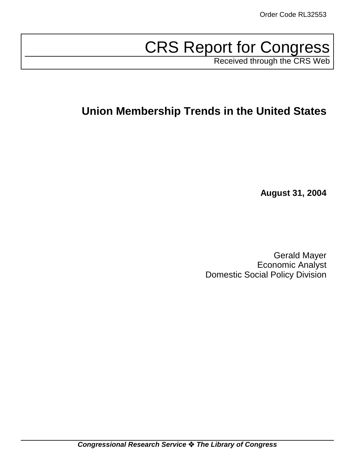# CRS Report for Congress

Received through the CRS Web

## **Union Membership Trends in the United States**

**August 31, 2004**

Gerald Mayer Economic Analyst Domestic Social Policy Division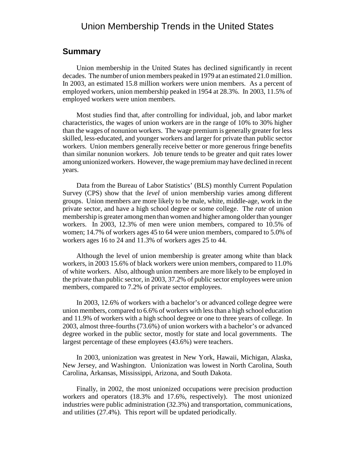## Union Membership Trends in the United States

### **Summary**

Union membership in the United States has declined significantly in recent decades. The number of union members peaked in 1979 at an estimated 21.0 million. In 2003, an estimated 15.8 million workers were union members. As a percent of employed workers, union membership peaked in 1954 at 28.3%. In 2003, 11.5% of employed workers were union members.

Most studies find that, after controlling for individual, job, and labor market characteristics, the wages of union workers are in the range of 10% to 30% higher than the wages of nonunion workers. The wage premium is generally greater for less skilled, less-educated, and younger workers and larger for private than public sector workers. Union members generally receive better or more generous fringe benefits than similar nonunion workers. Job tenure tends to be greater and quit rates lower among unionized workers. However, the wage premium may have declined in recent years.

Data from the Bureau of Labor Statistics' (BLS) monthly Current Population Survey (CPS) show that the *level* of union membership varies among different groups. Union members are more likely to be male, white, middle-age, work in the private sector, and have a high school degree or some college. The *rate* of union membership is greater among men than women and higher among older than younger workers. In 2003, 12.3% of men were union members, compared to 10.5% of women; 14.7% of workers ages 45 to 64 were union members, compared to 5.0% of workers ages 16 to 24 and 11.3% of workers ages 25 to 44.

Although the level of union membership is greater among white than black workers, in 2003 15.6% of black workers were union members, compared to 11.0% of white workers. Also, although union members are more likely to be employed in the private than public sector, in 2003, 37.2% of public sector employees were union members, compared to 7.2% of private sector employees.

In 2003, 12.6% of workers with a bachelor's or advanced college degree were union members, compared to 6.6% of workers with less than a high school education and 11.9% of workers with a high school degree or one to three years of college. In 2003, almost three-fourths (73.6%) of union workers with a bachelor's or advanced degree worked in the public sector, mostly for state and local governments. The largest percentage of these employees (43.6%) were teachers.

In 2003, unionization was greatest in New York, Hawaii, Michigan, Alaska, New Jersey, and Washington. Unionization was lowest in North Carolina, South Carolina, Arkansas, Mississippi, Arizona, and South Dakota.

Finally, in 2002, the most unionized occupations were precision production workers and operators (18.3% and 17.6%, respectively). The most unionized industries were public administration (32.3%) and transportation, communications, and utilities (27.4%). This report will be updated periodically.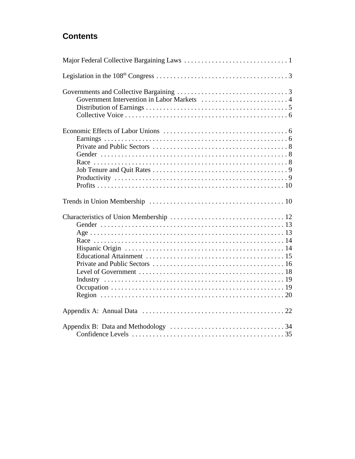## **Contents**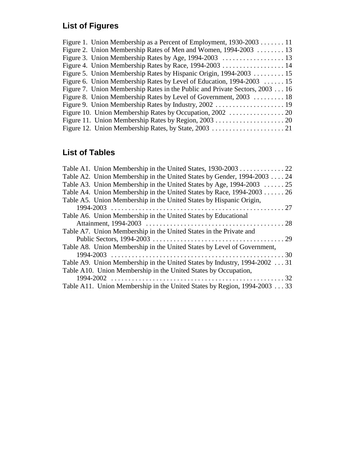## **List of Figures**

| Figure 1. Union Membership as a Percent of Employment, $1930-2003$ 11        |
|------------------------------------------------------------------------------|
| Figure 2. Union Membership Rates of Men and Women, 1994-2003  13             |
|                                                                              |
|                                                                              |
| Figure 5. Union Membership Rates by Hispanic Origin, 1994-2003 15            |
| Figure 6. Union Membership Rates by Level of Education, 1994-2003  15        |
| Figure 7. Union Membership Rates in the Public and Private Sectors, 2003  16 |
| Figure 8. Union Membership Rates by Level of Government, 2003  18            |
|                                                                              |
|                                                                              |
|                                                                              |
|                                                                              |
|                                                                              |

## **List of Tables**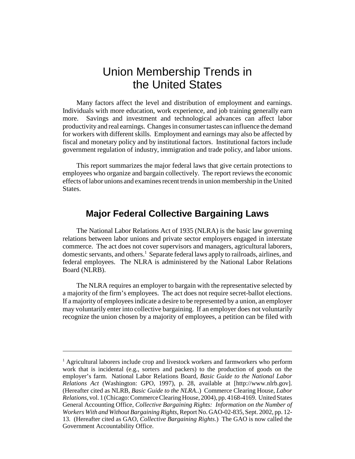## Union Membership Trends in the United States

Many factors affect the level and distribution of employment and earnings. Individuals with more education, work experience, and job training generally earn more. Savings and investment and technological advances can affect labor productivity and real earnings. Changes in consumer tastes can influence the demand for workers with different skills. Employment and earnings may also be affected by fiscal and monetary policy and by institutional factors. Institutional factors include government regulation of industry, immigration and trade policy, and labor unions.

This report summarizes the major federal laws that give certain protections to employees who organize and bargain collectively. The report reviews the economic effects of labor unions and examines recent trends in union membership in the United States.

## **Major Federal Collective Bargaining Laws**

The National Labor Relations Act of 1935 (NLRA) is the basic law governing relations between labor unions and private sector employers engaged in interstate commerce. The act does not cover supervisors and managers, agricultural laborers, domestic servants, and others.<sup>1</sup> Separate federal laws apply to railroads, airlines, and federal employees. The NLRA is administered by the National Labor Relations Board (NLRB).

The NLRA requires an employer to bargain with the representative selected by a majority of the firm's employees. The act does not require secret-ballot elections. If a majority of employees indicate a desire to be represented by a union, an employer may voluntarily enter into collective bargaining. If an employer does not voluntarily recognize the union chosen by a majority of employees, a petition can be filed with

<sup>&</sup>lt;sup>1</sup> Agricultural laborers include crop and livestock workers and farmworkers who perform work that is incidental (e.g., sorters and packers) to the production of goods on the employer's farm. National Labor Relations Board, *Basic Guide to the National Labor Relations Act* (Washington: GPO, 1997), p. 28, available at [http://www.nlrb.gov]. (Hereafter cited as NLRB, *Basic Guide to the NLRA*..) Commerce Clearing House, *Labor Relations*, vol. 1 (Chicago: Commerce Clearing House, 2004), pp. 4168-4169. United States General Accounting Office, *Collective Bargaining Rights: Information on the Number of Workers With and Without Bargaining Rights*, Report No. GAO-02-835, Sept. 2002, pp. 12- 13. (Hereafter cited as GAO, *Collective Bargaining Rights*.) The GAO is now called the Government Accountability Office.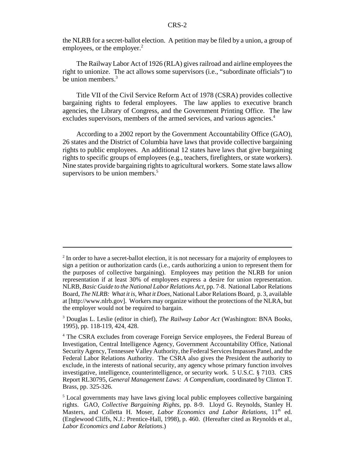the NLRB for a secret-ballot election. A petition may be filed by a union, a group of employees, or the employer. $<sup>2</sup>$ </sup>

The Railway Labor Act of 1926 (RLA) gives railroad and airline employees the right to unionize. The act allows some supervisors (i.e., "subordinate officials") to be union members.<sup>3</sup>

Title VII of the Civil Service Reform Act of 1978 (CSRA) provides collective bargaining rights to federal employees. The law applies to executive branch agencies, the Library of Congress, and the Government Printing Office. The law excludes supervisors, members of the armed services, and various agencies.<sup>4</sup>

According to a 2002 report by the Government Accountability Office (GAO), 26 states and the District of Columbia have laws that provide collective bargaining rights to public employees. An additional 12 states have laws that give bargaining rights to specific groups of employees (e.g., teachers, firefighters, or state workers). Nine states provide bargaining rights to agricultural workers. Some state laws allow supervisors to be union members.<sup>5</sup>

 $2<sup>2</sup>$  In order to have a secret-ballot election, it is not necessary for a majority of employees to sign a petition or authorization cards (i.e., cards authorizing a union to represent them for the purposes of collective bargaining). Employees may petition the NLRB for union representation if at least 30% of employees express a desire for union representation. NLRB, *Basic Guide to the National Labor Relations Act*, pp. 7-8. National Labor Relations Board, *The NLRB: What it is, What it Does,* National Labor Relations Board, p. 3, available at [http://www.nlrb.gov]. Workers may organize without the protections of the NLRA, but the employer would not be required to bargain.

<sup>3</sup> Douglas L. Leslie (editor in chief), *The Railway Labor Act* (Washington: BNA Books, 1995), pp. 118-119, 424, 428.

<sup>&</sup>lt;sup>4</sup> The CSRA excludes from coverage Foreign Service employees, the Federal Bureau of Investigation, Central Intelligence Agency, Government Accountability Office, National Security Agency, Tennessee Valley Authority, the Federal Services Impasses Panel, and the Federal Labor Relations Authority. The CSRA also gives the President the authority to exclude, in the interests of national security, any agency whose primary function involves investigative, intelligence, counterintelligence, or security work. 5 U.S.C. § 7103. CRS Report RL30795, *General Management Laws: A Compendium*, coordinated by Clinton T. Brass, pp. 325-326.

<sup>&</sup>lt;sup>5</sup> Local governments may have laws giving local public employees collective bargaining rights. GAO, *Collective Bargaining Rights*, pp. 8-9. Lloyd G. Reynolds, Stanley H. Masters, and Colletta H. Moser, *Labor Economics and Labor Relations*, 11<sup>th</sup> ed. (Englewood Cliffs, N.J.: Prentice-Hall, 1998), p. 460. (Hereafter cited as Reynolds et al., *Labor Economics and Labor Relations*.)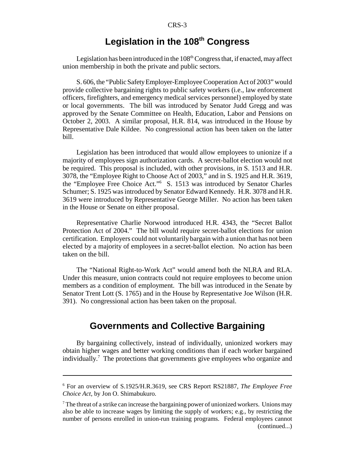## Legislation in the 108<sup>th</sup> Congress

Legislation has been introduced in the  $108<sup>th</sup> Congress that, if enacted, may affect$ union membership in both the private and public sectors.

S. 606, the "Public Safety Employer-Employee Cooperation Act of 2003" would provide collective bargaining rights to public safety workers (i.e., law enforcement officers, firefighters, and emergency medical services personnel) employed by state or local governments. The bill was introduced by Senator Judd Gregg and was approved by the Senate Committee on Health, Education, Labor and Pensions on October 2, 2003. A similar proposal, H.R. 814, was introduced in the House by Representative Dale Kildee. No congressional action has been taken on the latter bill.

Legislation has been introduced that would allow employees to unionize if a majority of employees sign authorization cards. A secret-ballot election would not be required. This proposal is included, with other provisions, in S. 1513 and H.R. 3078, the "Employee Right to Choose Act of 2003," and in S. 1925 and H.R. 3619, the "Employee Free Choice Act."<sup>6</sup> S. 1513 was introduced by Senator Charles Schumer; S. 1925 was introduced by Senator Edward Kennedy. H.R. 3078 and H.R. 3619 were introduced by Representative George Miller. No action has been taken in the House or Senate on either proposal.

Representative Charlie Norwood introduced H.R. 4343, the "Secret Ballot Protection Act of 2004." The bill would require secret-ballot elections for union certification. Employers could not voluntarily bargain with a union that has not been elected by a majority of employees in a secret-ballot election. No action has been taken on the bill.

The "National Right-to-Work Act" would amend both the NLRA and RLA. Under this measure, union contracts could not require employees to become union members as a condition of employment. The bill was introduced in the Senate by Senator Trent Lott (S. 1765) and in the House by Representative Joe Wilson (H.R. 391). No congressional action has been taken on the proposal.

## **Governments and Collective Bargaining**

By bargaining collectively, instead of individually, unionized workers may obtain higher wages and better working conditions than if each worker bargained individually.<sup>7</sup> The protections that governments give employees who organize and

<sup>6</sup> For an overview of S.1925/H.R.3619, see CRS Report RS21887, *The Employee Free Choice Act*, by Jon O. Shimabukuro.

 $7$  The threat of a strike can increase the bargaining power of unionized workers. Unions may also be able to increase wages by limiting the supply of workers; e.g., by restricting the number of persons enrolled in union-run training programs. Federal employees cannot (continued...)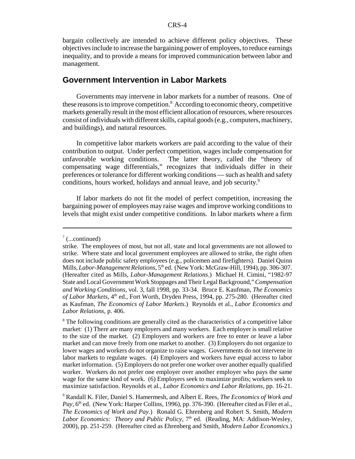bargain collectively are intended to achieve different policy objectives. These objectives include to increase the bargaining power of employees, to reduce earnings inequality, and to provide a means for improved communication between labor and management.

#### **Government Intervention in Labor Markets**

Governments may intervene in labor markets for a number of reasons. One of these reasons is to improve competition.<sup>8</sup> According to economic theory, competitive markets generally result in the most efficient allocation of resources, where resources consist of individuals with different skills, capital goods (e.g., computers, machinery, and buildings), and natural resources.

In competitive labor markets workers are paid according to the value of their contribution to output. Under perfect competition, wages include compensation for unfavorable working conditions. The latter theory, called the "theory of compensating wage differentials," recognizes that individuals differ in their preferences or tolerance for different working conditions — such as health and safety conditions, hours worked, holidays and annual leave, and job security.9

If labor markets do not fit the model of perfect competition, increasing the bargaining power of employees may raise wages and improve working conditions to levels that might exist under competitive conditions. In labor markets where a firm

 $7$  (...continued)

strike. The employees of most, but not all, state and local governments are not allowed to strike. Where state and local government employees are allowed to strike, the right often does not include public safety employees (e.g., policemen and firefighters). Daniel Quinn Mills, *Labor-Management Relations*, 5<sup>th</sup> ed. (New York: McGraw-Hill, 1994), pp. 306-307. (Hereafter cited as Mills, *Labor-Management Relations*.) Michael H. Cimini, "1982-97 State and Local Government Work Stoppages and Their Legal Background," *Compensation and Working Conditions*, vol. 3, fall 1998, pp. 33-34. Bruce E. Kaufman, *The Economics* of Labor Markets, 4<sup>th</sup> ed., Fort Worth, Dryden Press, 1994, pp. 275-280. (Hereafter cited as Kaufman, *The Economics of Labor Markets*.) Reynolds et al., *Labor Economics and Labor Relations*, p. 406.

<sup>&</sup>lt;sup>8</sup> The following conditions are generally cited as the characteristics of a competitive labor market: (1) There are many employers and many workers. Each employer is small relative to the size of the market. (2) Employers and workers are free to enter or leave a labor market and can move freely from one market to another. (3) Employers do not organize to lower wages and workers do not organize to raise wages. Governments do not intervene in labor markets to regulate wages. (4) Employers and workers have equal access to labor market information. (5) Employers do not prefer one worker over another equally qualified worker. Workers do not prefer one employer over another employer who pays the same wage for the same kind of work. (6) Employers seek to maximize profits; workers seek to maximize satisfaction. Reynolds et al., *Labor Economics and Labor Relations,* pp. 16-21.

<sup>9</sup> Randall K. Filer, Daniel S. Hamermesh, and Albert E. Rees, *The Economics of Work and* Pay, 6<sup>th</sup> ed. (New York: Harper Collins, 1996), pp. 376-390. (Hereafter cited as Filer et al., *The Economics of Work and Pay*.) Ronald G. Ehrenberg and Robert S. Smith, *Modern Labor Economics: Theory and Public Policy*, 7<sup>th</sup> ed. (Reading, MA: Addison-Wesley, 2000), pp. 251-259. (Hereafter cited as Ehrenberg and Smith, *Modern Labor Economics*.)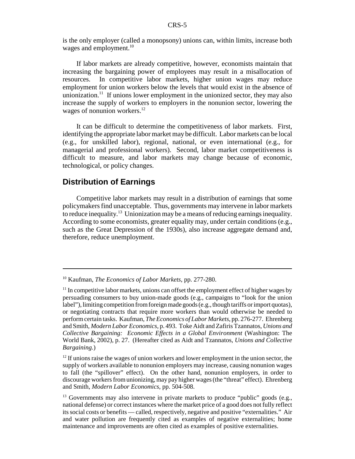is the only employer (called a monopsony) unions can, within limits, increase both wages and employment. $10$ 

If labor markets are already competitive, however, economists maintain that increasing the bargaining power of employees may result in a misallocation of resources. In competitive labor markets, higher union wages may reduce employment for union workers below the levels that would exist in the absence of unionization.<sup>11</sup> If unions lower employment in the unionized sector, they may also increase the supply of workers to employers in the nonunion sector, lowering the wages of nonunion workers.<sup>12</sup>

It can be difficult to determine the competitiveness of labor markets. First, identifying the appropriate labor market may be difficult. Labor markets can be local (e.g., for unskilled labor), regional, national, or even international (e.g., for managerial and professional workers). Second, labor market competitiveness is difficult to measure, and labor markets may change because of economic, technological, or policy changes.

### **Distribution of Earnings**

Competitive labor markets may result in a distribution of earnings that some policymakers find unacceptable. Thus, governments may intervene in labor markets to reduce inequality.13 Unionization may be a means of reducing earnings inequality. According to some economists, greater equality may, under certain conditions (e.g., such as the Great Depression of the 1930s), also increase aggregate demand and, therefore, reduce unemployment.

<sup>10</sup> Kaufman, *The Economics of Labor Markets*, pp. 277-280.

 $11$  In competitive labor markets, unions can offset the employment effect of higher wages by persuading consumers to buy union-made goods (e.g., campaigns to "look for the union label"), limiting competition from foreign made goods (e.g., though tariffs or import quotas), or negotiating contracts that require more workers than would otherwise be needed to perform certain tasks. Kaufman, *The Economics of Labor Markets*, pp. 276-277. Ehrenberg and Smith, *Modern Labor Economics*, p. 493. Toke Aidt and Zafiris Tzannatos, *Unions and Collective Bargaining: Economic Effects in a Global Environment* (Washington: The World Bank, 2002), p. 27. (Hereafter cited as Aidt and Tzannatos, *Unions and Collective Bargaining*.)

 $12$  If unions raise the wages of union workers and lower employment in the union sector, the supply of workers available to nonunion employers may increase, causing nonunion wages to fall (the "spillover" effect). On the other hand, nonunion employers, in order to discourage workers from unionizing, may pay higher wages (the "threat" effect). Ehrenberg and Smith, *Modern Labor Economics*, pp. 504-508.

 $13$  Governments may also intervene in private markets to produce "public" goods (e.g., national defense) or correct instances where the market price of a good does not fully reflect its social costs or benefits — called, respectively, negative and positive "externalities." Air and water pollution are frequently cited as examples of negative externalities; home maintenance and improvements are often cited as examples of positive externalities.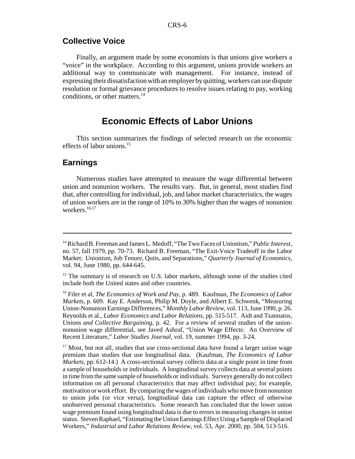## **Collective Voice**

Finally, an argument made by some economists is that unions give workers a "voice" in the workplace. According to this argument, unions provide workers an additional way to communicate with management. For instance, instead of expressing their dissatisfaction with an employer by quitting, workers can use dispute resolution or formal grievance procedures to resolve issues relating to pay, working conditions, or other matters.<sup>14</sup>

## **Economic Effects of Labor Unions**

This section summarizes the findings of selected research on the economic effects of labor unions.<sup>15</sup>

### **Earnings**

Numerous studies have attempted to measure the wage differential between union and nonunion workers. The results vary. But, in general, most studies find that, after controlling for individual, job, and labor market characteristics, the wages of union workers are in the range of 10% to 30% higher than the wages of nonunion workers.<sup>16,17</sup>

<sup>14</sup> Richard B. Freeman and James L. Medoff, "The Two Faces of Unionism," *Public Interest*, no. 57, fall 1979, pp. 70-73. Richard B. Freeman, "The Exit-Voice Tradeoff in the Labor Market: Unionism, Job Tenure, Quits, and Separations," *Quarterly Journal of Economics*, vol. 94, June 1980, pp. 644-645.

<sup>&</sup>lt;sup>15</sup> The summary is of research on U.S. labor markets, although some of the studies cited include both the United states and other countries.

<sup>16</sup> Filer et al, *The Economics of Work and Pay*, p. 489. Kaufman, *The Economics of Labor Markets*, p. 609. Kay E. Anderson, Philip M. Doyle, and Albert E. Schwenk, "Measuring Union-Nonunion Earnings Differences," *Monthly Labor Review*, vol. 113, June 1990, p. 26. Reynolds et al., *Labor Economics and Labor Relations*, pp. 515-517. Aidt and Tzannatos, *Unions and Collective Bargaining*, p. 42. For a review of several studies of the unionnonunion wage differential, see Javed Ashraf, "Union Wage Effects: An Overview of Recent Literature," *Labor Studies Journal*, vol. 19, summer 1994, pp. 3-24.

 $17$  Most, but not all, studies that use cross-sectional data have found a larger union wage premium than studies that use longitudinal data. (Kaufman, *The Economics of Labor Markets*, pp. 612-14.) A cross-sectional survey collects data at a single point in time from a sample of households or individuals. A longitudinal survey collects data at several points in time from the same sample of households or individuals. Surveys generally do not collect information on all personal characteristics that may affect individual pay; for example, motivation or work effort. By comparing the wages of individuals who move from nonunion to union jobs (or vice versa), longitudinal data can capture the effect of otherwise unobserved personal characteristics. Some research has concluded that the lower union wage premium found using longitudinal data is due to errors in measuring changes in union status. Steven Raphael, "Estimating the Union Earnings Effect Using a Sample of Displaced Workers," *Industrial and Labor Relations Review*, vol. 53, Apr. 2000, pp. 504, 513-516.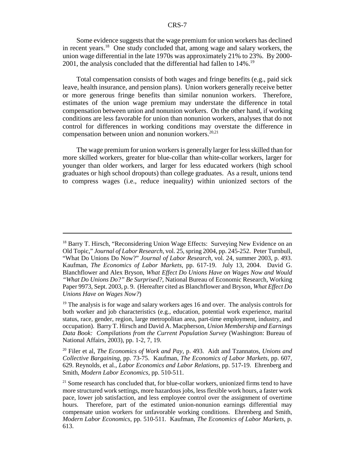Some evidence suggests that the wage premium for union workers has declined in recent years.18 One study concluded that, among wage and salary workers, the union wage differential in the late 1970s was approximately 21% to 23%. By 2000- 2001, the analysis concluded that the differential had fallen to 14%.19

Total compensation consists of both wages and fringe benefits (e.g., paid sick leave, health insurance, and pension plans). Union workers generally receive better or more generous fringe benefits than similar nonunion workers. Therefore, estimates of the union wage premium may understate the difference in total compensation between union and nonunion workers. On the other hand, if working conditions are less favorable for union than nonunion workers, analyses that do not control for differences in working conditions may overstate the difference in compensation between union and nonunion workers. $20,21$ 

The wage premium for union workers is generally larger for less skilled than for more skilled workers, greater for blue-collar than white-collar workers, larger for younger than older workers, and larger for less educated workers (high school graduates or high school dropouts) than college graduates. As a result, unions tend to compress wages (i.e., reduce inequality) within unionized sectors of the

<sup>&</sup>lt;sup>18</sup> Barry T. Hirsch, "Reconsidering Union Wage Effects: Surveying New Evidence on an Old Topic," *Journal of Labor Research*, vol. 25, spring 2004, pp. 245-252. Peter Turnbull, "What Do Unions Do Now?" *Journal of Labor Research*, vol. 24, summer 2003, p. 493. Kaufman, *The Economics of Labor Markets*, pp. 617-19. July 13, 2004. David G. Blanchflower and Alex Bryson, *What Effect Do Unions Have on Wages Now and Would "What Do Unions Do?" Be Surprised?*, National Bureau of Economic Research, Working Paper 9973, Sept. 2003, p. 9. (Hereafter cited as Blanchflower and Bryson, *What Effect Do Unions Have on Wages Now?*)

 $19$  The analysis is for wage and salary workers ages 16 and over. The analysis controls for both worker and job characteristics (e.g., education, potential work experience, marital status, race, gender, region, large metropolitan area, part-time employment, industry, and occupation). Barry T. Hirsch and David A. Macpherson, *Union Membership and Earnings Data Book: Compilations from the Current Population Survey* (Washington: Bureau of National Affairs, 2003), pp. 1-2, 7, 19.

<sup>20</sup> Filer et al, *The Economics of Work and Pay*, p. 493. Aidt and Tzannatos, *Unions and Collective Bargaining*, pp. 73-75. Kaufman, *The Economics of Labor Markets*, pp. 607, 629. Reynolds, et al., *Labor Economics and Labor Relations*, pp. 517-19. Ehrenberg and Smith, *Modern Labor Economics*, pp. 510-511.

 $21$  Some research has concluded that, for blue-collar workers, unionized firms tend to have more structured work settings, more hazardous jobs, less flexible work hours, a faster work pace, lower job satisfaction, and less employee control over the assignment of overtime hours. Therefore, part of the estimated union-nonunion earnings differential may compensate union workers for unfavorable working conditions. Ehrenberg and Smith, *Modern Labor Economics*, pp. 510-511. Kaufman, *The Economics of Labor Markets*, p. 613.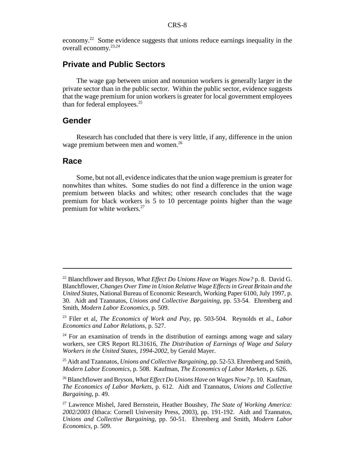economy.22 Some evidence suggests that unions reduce earnings inequality in the overall economy.23,24

## **Private and Public Sectors**

The wage gap between union and nonunion workers is generally larger in the private sector than in the public sector. Within the public sector, evidence suggests that the wage premium for union workers is greater for local government employees than for federal employees. $25$ 

#### **Gender**

Research has concluded that there is very little, if any, difference in the union wage premium between men and women.<sup>26</sup>

#### **Race**

Some, but not all, evidence indicates that the union wage premium is greater for nonwhites than whites. Some studies do not find a difference in the union wage premium between blacks and whites; other research concludes that the wage premium for black workers is 5 to 10 percentage points higher than the wage premium for white workers.<sup>27</sup>

<sup>22</sup> Blanchflower and Bryson, *What Effect Do Unions Have on Wages Now?* p. 8. David G. Blanchflower, *Changes Over Time in Union Relative Wage Effects in Great Britain and the United States*, National Bureau of Economic Research, Working Paper 6100, July 1997, p. 30. Aidt and Tzannatos, *Unions and Collective Bargaining*, pp. 53-54. Ehrenberg and Smith, *Modern Labor Economics*, p. 509.

<sup>23</sup> Filer et al, *The Economics of Work and Pay*, pp. 503-504. Reynolds et al., *Labor Economics and Labor Relations*, p. 527.

 $24$  For an examination of trends in the distribution of earnings among wage and salary workers, see CRS Report RL31616, *The Distribution of Earnings of Wage and Salary Workers in the United States, 1994-2002*, by Gerald Mayer.

<sup>25</sup> Aidt and Tzannatos, *Unions and Collective Bargaining*, pp. 52-53. Ehrenberg and Smith, *Modern Labor Economics*, p. 508. Kaufman, *The Economics of Labor Markets*, p. 626.

<sup>26</sup> Blanchflower and Bryson, *What Effect Do Unions Have on Wages Now?* p. 10. Kaufman, *The Economics of Labor Markets*, p. 612. Aidt and Tzannatos, *Unions and Collective Bargaining*, p. 49.

<sup>27</sup> Lawrence Mishel, Jared Bernstein, Heather Boushey, *The State of Working America: 2002/2003* (Ithaca: Cornell University Press, 2003), pp. 191-192. Aidt and Tzannatos, *Unions and Collective Bargaining*, pp. 50-51. Ehrenberg and Smith, *Modern Labor Economics*, p. 509.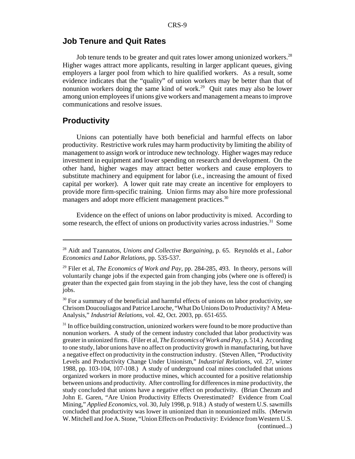#### **Job Tenure and Quit Rates**

Job tenure tends to be greater and quit rates lower among unionized workers.<sup>28</sup> Higher wages attract more applicants, resulting in larger applicant queues, giving employers a larger pool from which to hire qualified workers. As a result, some evidence indicates that the "quality" of union workers may be better than that of nonunion workers doing the same kind of work.<sup>29</sup> Quit rates may also be lower among union employees if unions give workers and management a means to improve communications and resolve issues.

## **Productivity**

Unions can potentially have both beneficial and harmful effects on labor productivity. Restrictive work rules may harm productivity by limiting the ability of management to assign work or introduce new technology. Higher wages may reduce investment in equipment and lower spending on research and development. On the other hand, higher wages may attract better workers and cause employers to substitute machinery and equipment for labor (i.e., increasing the amount of fixed capital per worker). A lower quit rate may create an incentive for employers to provide more firm-specific training. Union firms may also hire more professional managers and adopt more efficient management practices.<sup>30</sup>

Evidence on the effect of unions on labor productivity is mixed. According to some research, the effect of unions on productivity varies across industries.<sup>31</sup> Some

<sup>28</sup> Aidt and Tzannatos, *Unions and Collective Bargaining*, p. 65. Reynolds et al., *Labor Economics and Labor Relations*, pp. 535-537.

<sup>29</sup> Filer et al, *The Economics of Work and Pay*, pp. 284-285, 493. In theory, persons will voluntarily change jobs if the expected gain from changing jobs (where one is offered) is greater than the expected gain from staying in the job they have, less the cost of changing jobs.

 $30$  For a summary of the beneficial and harmful effects of unions on labor productivity, see Chrisom Doucouliagos and Patrice Laroche, "What Do Unions Do to Productivity? A Meta-Analysis," *Industrial Relations*, vol. 42, Oct. 2003, pp. 651-655.

 $31$  In office building construction, unionized workers were found to be more productive than nonunion workers. A study of the cement industry concluded that labor productivity was greater in unionized firms. (Filer et al, *The Economics of Work and Pay*, p. 514.) According to one study, labor unions have no affect on productivity growth in manufacturing, but have a negative effect on productivity in the construction industry. (Steven Allen, "Productivity Levels and Productivity Change Under Unionism," *Industrial Relations*, vol. 27, winter 1988, pp. 103-104, 107-108.) A study of underground coal mines concluded that unions organized workers in more productive mines, which accounted for a positive relationship between unions and productivity. After controlling for differences in mine productivity, the study concluded that unions have a negative effect on productivity. (Brian Chezum and John E. Garen, "Are Union Productivity Effects Overestimated? Evidence from Coal Mining," *Applied Economics*, vol. 30, July 1998, p. 918.) A study of western U.S. sawmills concluded that productivity was lower in unionized than in nonunionized mills. (Merwin W. Mitchell and Joe A. Stone, "Union Effects on Productivity: Evidence from Western U.S. (continued...)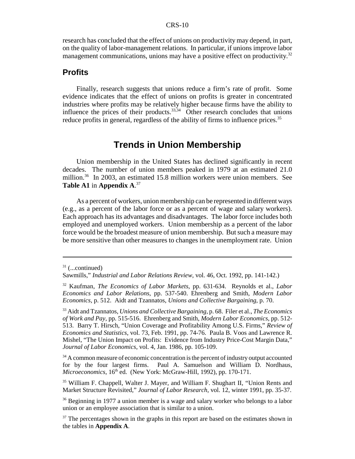research has concluded that the effect of unions on productivity may depend, in part, on the quality of labor-management relations. In particular, if unions improve labor management communications, unions may have a positive effect on productivity.<sup>32</sup>

### **Profits**

Finally, research suggests that unions reduce a firm's rate of profit. Some evidence indicates that the effect of unions on profits is greater in concentrated industries where profits may be relatively higher because firms have the ability to influence the prices of their products.<sup>33,34</sup> Other research concludes that unions reduce profits in general, regardless of the ability of firms to influence prices.<sup>35</sup>

## **Trends in Union Membership**

Union membership in the United States has declined significantly in recent decades. The number of union members peaked in 1979 at an estimated 21.0 million.<sup>36</sup> In 2003, an estimated 15.8 million workers were union members. See **Table A1** in **Appendix A**. 37

As a percent of workers, union membership can be represented in different ways (e.g., as a percent of the labor force or as a percent of wage and salary workers). Each approach has its advantages and disadvantages. The labor force includes both employed and unemployed workers. Union membership as a percent of the labor force would be the broadest measure of union membership. But such a measure may be more sensitive than other measures to changes in the unemployment rate. Union

 $31$  (...continued)

Sawmills," *Industrial and Labor Relations Review*, vol. 46, Oct. 1992, pp. 141-142.)

<sup>32</sup> Kaufman, *The Economics of Labor Markets*, pp. 631-634. Reynolds et al., *Labor Economics and Labor Relations*, pp. 537-540. Ehrenberg and Smith, *Modern Labor Economics*, p. 512. Aidt and Tzannatos, *Unions and Collective Bargaining*, p. 70.

<sup>33</sup> Aidt and Tzannatos, *Unions and Collective Bargaining*, p. 68. Filer et al., *The Economics of Work and Pay,* pp. 515-516. Ehrenberg and Smith, *Modern Labor Economics*, pp. 512- 513. Barry T. Hirsch, "Union Coverage and Profitability Among U.S. Firms," *Review of Economics and Statistics*, vol. 73, Feb. 1991, pp. 74-76. Paula B. Voos and Lawrence R. Mishel, "The Union Impact on Profits: Evidence from Industry Price-Cost Margin Data," *Journal of Labor Economics*, vol. 4, Jan. 1986, pp. 105-109.

<sup>&</sup>lt;sup>34</sup> A common measure of economic concentration is the percent of industry output accounted for by the four largest firms. Paul A. Samuelson and William D. Nordhaus, *Microeconomics*, 16<sup>th</sup> ed. (New York: McGraw-Hill, 1992), pp. 170-171.

<sup>35</sup> William F. Chappell, Walter J. Mayer, and William F. Shughart II, "Union Rents and Market Structure Revisited," *Journal of Labor Research*, vol. 12, winter 1991, pp. 35-37.

<sup>&</sup>lt;sup>36</sup> Beginning in 1977 a union member is a wage and salary worker who belongs to a labor union or an employee association that is similar to a union.

 $37$  The percentages shown in the graphs in this report are based on the estimates shown in the tables in **Appendix A**.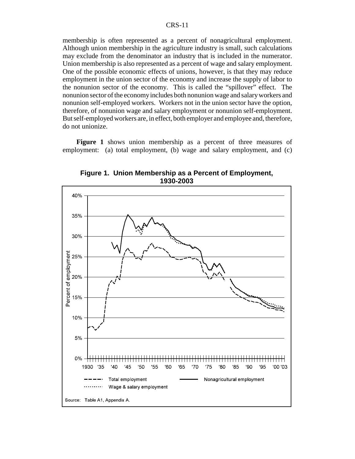membership is often represented as a percent of nonagricultural employment. Although union membership in the agriculture industry is small, such calculations may exclude from the denominator an industry that is included in the numerator. Union membership is also represented as a percent of wage and salary employment. One of the possible economic effects of unions, however, is that they may reduce employment in the union sector of the economy and increase the supply of labor to the nonunion sector of the economy. This is called the "spillover" effect. The nonunion sector of the economy includes both nonunion wage and salary workers and nonunion self-employed workers. Workers not in the union sector have the option, therefore, of nonunion wage and salary employment or nonunion self-employment. But self-employed workers are, in effect, both employer and employee and, therefore, do not unionize.

**Figure 1** shows union membership as a percent of three measures of employment: (a) total employment, (b) wage and salary employment, and (c)



**Figure 1. Union Membership as a Percent of Employment, 1930-2003**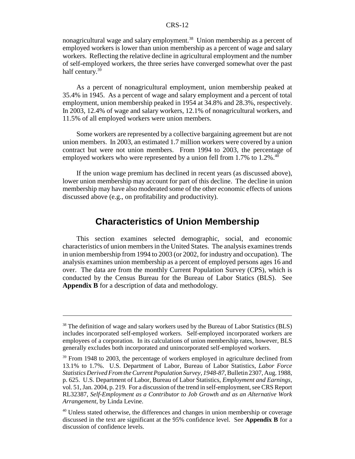nonagricultural wage and salary employment.<sup>38</sup> Union membership as a percent of employed workers is lower than union membership as a percent of wage and salary workers. Reflecting the relative decline in agricultural employment and the number of self-employed workers, the three series have converged somewhat over the past half century.<sup>39</sup>

As a percent of nonagricultural employment, union membership peaked at 35.4% in 1945. As a percent of wage and salary employment and a percent of total employment, union membership peaked in 1954 at 34.8% and 28.3%, respectively. In 2003, 12.4% of wage and salary workers, 12.1% of nonagricultural workers, and 11.5% of all employed workers were union members.

Some workers are represented by a collective bargaining agreement but are not union members. In 2003, an estimated 1.7 million workers were covered by a union contract but were not union members. From 1994 to 2003, the percentage of employed workers who were represented by a union fell from  $1.7\%$  to  $1.2\%$ .<sup>40</sup>

If the union wage premium has declined in recent years (as discussed above), lower union membership may account for part of this decline. The decline in union membership may have also moderated some of the other economic effects of unions discussed above (e.g., on profitability and productivity).

## **Characteristics of Union Membership**

This section examines selected demographic, social, and economic characteristics of union members in the United States. The analysis examines trends in union membership from 1994 to 2003 (or 2002, for industry and occupation). The analysis examines union membership as a percent of employed persons ages 16 and over. The data are from the monthly Current Population Survey (CPS), which is conducted by the Census Bureau for the Bureau of Labor Statics (BLS). See **Appendix B** for a description of data and methodology.

<sup>&</sup>lt;sup>38</sup> The definition of wage and salary workers used by the Bureau of Labor Statistics (BLS) includes incorporated self-employed workers. Self-employed incorporated workers are employees of a corporation. In its calculations of union membership rates, however, BLS generally excludes both incorporated and unincorporated self-employed workers.

 $39$  From 1948 to 2003, the percentage of workers employed in agriculture declined from 13.1% to 1.7%. U.S. Department of Labor, Bureau of Labor Statistics, *Labor Force Statistics Derived From the Current Population Survey, 1948-87*, Bulletin 2307, Aug. 1988, p. 625. U.S. Department of Labor, Bureau of Labor Statistics, *Employment and Earnings*, vol. 51, Jan. 2004, p. 219. For a discussion of the trend in self-employment, see CRS Report RL32387, *Self-Employment as a Contributor to Job Growth and as an Alternative Work Arrangement*, by Linda Levine.

<sup>&</sup>lt;sup>40</sup> Unless stated otherwise, the differences and changes in union membership or coverage discussed in the text are significant at the 95% confidence level. See **Appendix B** for a discussion of confidence levels.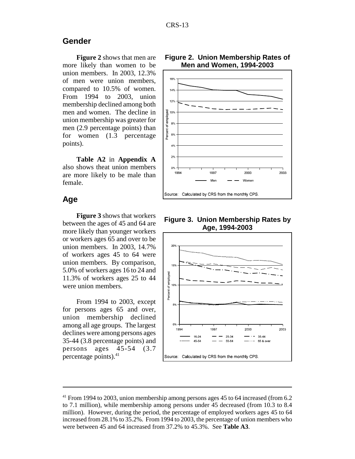### **Gender**

**Figure 2** shows that men are more likely than women to be union members. In 2003, 12.3% of men were union members, compared to 10.5% of women. From 1994 to 2003, union membership declined among both men and women. The decline in union membership was greater for men (2.9 percentage points) than for women (1.3 percentage points).

**Table A2** in **Appendix A** also shows theat union members are more likely to be male than female.

### **Age**

**Figure 3** shows that workers between the ages of 45 and 64 are more likely than younger workers or workers ages 65 and over to be union members. In 2003, 14.7% of workers ages 45 to 64 were union members. By comparison, 5.0% of workers ages 16 to 24 and 11.3% of workers ages 25 to 44 were union members.

From 1994 to 2003, except for persons ages 65 and over, union membership declined among all age groups. The largest declines were among persons ages 35-44 (3.8 percentage points) and persons ages 45-54 (3.7 percentage points).41

#### **Figure 2. Union Membership Rates of Men and Women, 1994-2003**



**Figure 3. Union Membership Rates by Age, 1994-2003**



<sup>&</sup>lt;sup>41</sup> From 1994 to 2003, union membership among persons ages 45 to 64 increased (from 6.2) to 7.1 million), while membership among persons under 45 decreased (from 10.3 to 8.4 million). However, during the period, the percentage of employed workers ages 45 to 64 increased from 28.1% to 35.2%. From 1994 to 2003, the percentage of union members who were between 45 and 64 increased from 37.2% to 45.3%. See **Table A3**.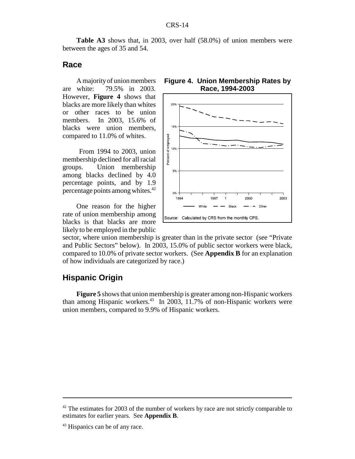**Table A3** shows that, in 2003, over half (58.0%) of union members were between the ages of 35 and 54.

#### **Race**

A majority of union members are white: 79.5% in 2003. However, **Figure 4** shows that blacks are more likely than whites or other races to be union members. In 2003, 15.6% of blacks were union members, compared to 11.0% of whites.

 From 1994 to 2003, union membership declined for all racial groups. Union membership among blacks declined by 4.0 percentage points, and by 1.9 percentage points among whites.42

One reason for the higher rate of union membership among blacks is that blacks are more likely to be employed in the public





sector, where union membership is greater than in the private sector (see "Private and Public Sectors" below). In 2003, 15.0% of public sector workers were black, compared to 10.0% of private sector workers. (See **Appendix B** for an explanation of how individuals are categorized by race.)

## **Hispanic Origin**

**Figure 5** shows that union membership is greater among non-Hispanic workers than among Hispanic workers.<sup>43</sup> In 2003, 11.7% of non-Hispanic workers were union members, compared to 9.9% of Hispanic workers.

 $42$  The estimates for 2003 of the number of workers by race are not strictly comparable to estimates for earlier years. See **Appendix B**.

<sup>&</sup>lt;sup>43</sup> Hispanics can be of any race.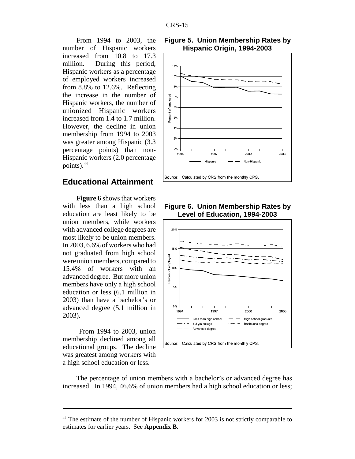From 1994 to 2003, the number of Hispanic workers increased from 10.8 to 17.3 million. During this period, Hispanic workers as a percentage of employed workers increased from 8.8% to 12.6%. Reflecting the increase in the number of Hispanic workers, the number of unionized Hispanic workers increased from 1.4 to 1.7 million. However, the decline in union membership from 1994 to 2003 was greater among Hispanic (3.3 percentage points) than non-Hispanic workers (2.0 percentage points). $44$ 

### **Educational Attainment**

**Figure 6** shows that workers with less than a high school education are least likely to be union members, while workers with advanced college degrees are most likely to be union members. In 2003, 6.6% of workers who had not graduated from high school were union members, compared to 15.4% of workers with an advanced degree. But more union members have only a high school education or less (6.1 million in 2003) than have a bachelor's or advanced degree (5.1 million in 2003).

 From 1994 to 2003, union membership declined among all educational groups. The decline was greatest among workers with a high school education or less.





**Figure 6. Union Membership Rates by Level of Education, 1994-2003**



The percentage of union members with a bachelor's or advanced degree has increased. In 1994, 46.6% of union members had a high school education or less;

<sup>&</sup>lt;sup>44</sup> The estimate of the number of Hispanic workers for 2003 is not strictly comparable to estimates for earlier years. See **Appendix B**.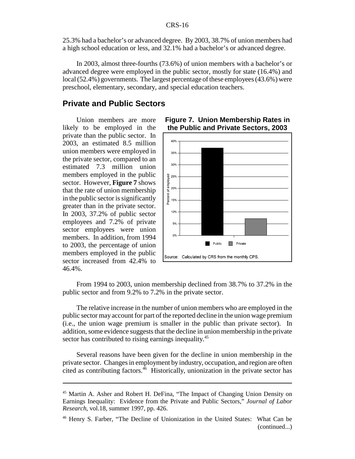25.3% had a bachelor's or advanced degree. By 2003, 38.7% of union members had a high school education or less, and 32.1% had a bachelor's or advanced degree.

In 2003, almost three-fourths (73.6%) of union members with a bachelor's or advanced degree were employed in the public sector, mostly for state (16.4%) and local (52.4%) governments. The largest percentage of these employees (43.6%) were preschool, elementary, secondary, and special education teachers.

### **Private and Public Sectors**

Union members are more likely to be employed in the private than the public sector. In 2003, an estimated 8.5 million union members were employed in the private sector, compared to an estimated 7.3 million union members employed in the public sector. However, **Figure 7** shows that the rate of union membership in the public sector is significantly greater than in the private sector. In 2003, 37.2% of public sector employees and 7.2% of private sector employees were union members. In addition, from 1994 to 2003, the percentage of union members employed in the public sector increased from 42.4% to 46.4%.



#### **Figure 7. Union Membership Rates in the Public and Private Sectors, 2003**

From 1994 to 2003, union membership declined from 38.7% to 37.2% in the public sector and from 9.2% to 7.2% in the private sector.

The relative increase in the number of union members who are employed in the public sector may account for part of the reported decline in the union wage premium (i.e., the union wage premium is smaller in the public than private sector). In addition, some evidence suggests that the decline in union membership in the private sector has contributed to rising earnings inequality.<sup>45</sup>

Several reasons have been given for the decline in union membership in the private sector. Changes in employment by industry, occupation, and region are often cited as contributing factors.<sup>46</sup> Historically, unionization in the private sector has

<sup>&</sup>lt;sup>45</sup> Martin A. Asher and Robert H. DeFina, "The Impact of Changing Union Density on Earnings Inequality: Evidence from the Private and Public Sectors," *Journal of Labor Research*, vol.18, summer 1997, pp. 426.

<sup>46</sup> Henry S. Farber, "The Decline of Unionization in the United States: What Can be (continued...)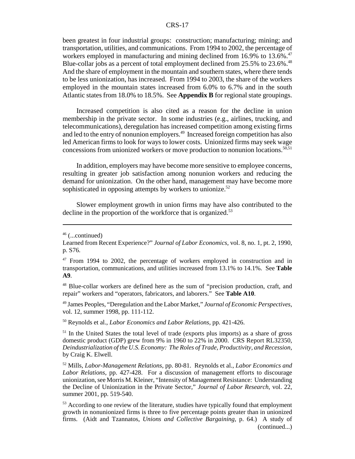been greatest in four industrial groups: construction; manufacturing; mining; and transportation, utilities, and communications. From 1994 to 2002, the percentage of workers employed in manufacturing and mining declined from 16.9% to 13.6%.<sup>47</sup> Blue-collar jobs as a percent of total employment declined from 25.5% to 23.6%.<sup>48</sup> And the share of employment in the mountain and southern states, where there tends to be less unionization, has increased. From 1994 to 2003, the share of the workers employed in the mountain states increased from 6.0% to 6.7% and in the south Atlantic states from 18.0% to 18.5%. See **Appendix B** for regional state groupings.

Increased competition is also cited as a reason for the decline in union membership in the private sector. In some industries (e.g., airlines, trucking, and telecommunications), deregulation has increased competition among existing firms and led to the entry of nonunion employers.<sup>49</sup> Increased foreign competition has also led American firms to look for ways to lower costs. Unionized firms may seek wage concessions from unionized workers or move production to nonunion locations.<sup>50,51</sup>

In addition, employers may have become more sensitive to employee concerns, resulting in greater job satisfaction among nonunion workers and reducing the demand for unionization. On the other hand, management may have become more sophisticated in opposing attempts by workers to unionize.<sup>52</sup>

Slower employment growth in union firms may have also contributed to the decline in the proportion of the workforce that is organized.<sup>53</sup>

48 Blue-collar workers are defined here as the sum of "precision production, craft, and repair" workers and "operators, fabricators, and laborers." See **Table A10**.

49 James Peoples, "Deregulation and the Labor Market," *Journal of Economic Perspectives*, vol. 12, summer 1998, pp. 111-112.

50 Reynolds et al., *Labor Economics and Labor Relations*, pp. 421-426.

<sup>51</sup> In the United States the total level of trade (exports plus imports) as a share of gross domestic product (GDP) grew from 9% in 1960 to 22% in 2000. CRS Report RL32350, *Deindustrialization of the U.S. Economy: The Roles of Trade, Productivity, and Recession*, by Craig K. Elwell.

52 Mills, *Labor-Management Relations*, pp. 80-81. Reynolds et al., *Labor Economics and Labor Relations*, pp. 427-428. For a discussion of management efforts to discourage unionization, see Morris M. Kleiner, "Intensity of Management Resistance: Understanding the Decline of Unionization in the Private Sector," *Journal of Labor Research*, vol. 22, summer 2001, pp. 519-540.

<sup>53</sup> According to one review of the literature, studies have typically found that employment growth in nonunionized firms is three to five percentage points greater than in unionized firms. (Aidt and Tzannatos, *Unions and Collective Bargaining*, p. 64.) A study of (continued...)

 $46$  (...continued)

Learned from Recent Experience?" *Journal of Labor Economics*, vol. 8, no. 1, pt. 2, 1990, p. S76.

 $47$  From 1994 to 2002, the percentage of workers employed in construction and in transportation, communications, and utilities increased from 13.1% to 14.1%. See **Table A9**.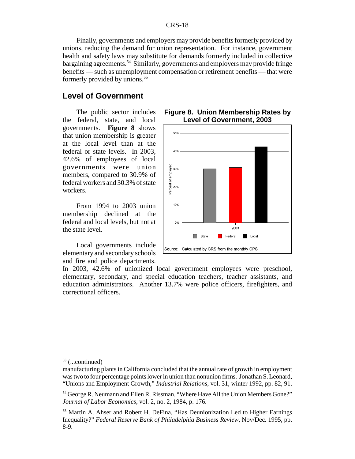Finally, governments and employers may provide benefits formerly provided by unions, reducing the demand for union representation. For instance, government health and safety laws may substitute for demands formerly included in collective bargaining agreements.54 Similarly, governments and employers may provide fringe benefits — such as unemployment compensation or retirement benefits — that were formerly provided by unions.<sup>55</sup>

## **Level of Government**

The public sector includes the federal, state, and local governments. **Figure 8** shows that union membership is greater at the local level than at the federal or state levels. In 2003, 42.6% of employees of local governments were union members, compared to 30.9% of federal workers and 30.3% of state workers.

From 1994 to 2003 union membership declined at the federal and local levels, but not at the state level.

Local governments include elementary and secondary schools and fire and police departments.





In 2003, 42.6% of unionized local government employees were preschool, elementary, secondary, and special education teachers, teacher assistants, and education administrators. Another 13.7% were police officers, firefighters, and correctional officers.

 $53$  (...continued)

manufacturing plants in California concluded that the annual rate of growth in employment was two to four percentage points lower in union than nonunion firms. Jonathan S. Leonard, "Unions and Employment Growth," *Industrial Relations*, vol. 31, winter 1992, pp. 82, 91.

<sup>54</sup> George R. Neumann and Ellen R. Rissman, "Where Have All the Union Members Gone?" *Journal of Labor Economics*, vol. 2, no. 2, 1984, p. 176.

<sup>55</sup> Martin A. Ahser and Robert H. DeFina, "Has Deunionization Led to Higher Earnings Inequality?" *Federal Reserve Bank of Philadelphia Business Review*, Nov/Dec. 1995, pp. 8-9.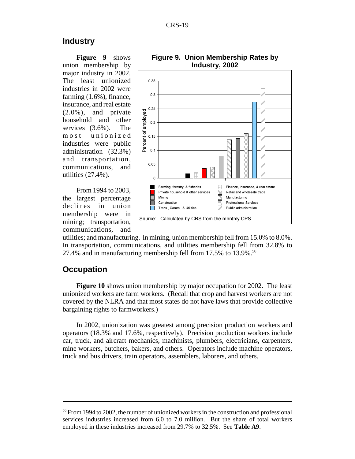#### **Industry**

**Figure 9** shows union membership by major industry in 2002. The least unionized industries in 2002 were farming (1.6%), finance, insurance, and real estate (2.0%), and private household and other services (3.6%). The most unionized industries were public administration (32.3%) and transportation, communications, and utilities (27.4%).

From 1994 to 2003, the largest percentage declines in union membership were in mining; transportation, communications, and



**Figure 9. Union Membership Rates by Industry, 2002**

utilities; and manufacturing. In mining, union membership fell from 15.0% to 8.0%. In transportation, communications, and utilities membership fell from 32.8% to 27.4% and in manufacturing membership fell from  $17.5\%$  to  $13.9\%$ .<sup>56</sup>

#### **Occupation**

**Figure 10** shows union membership by major occupation for 2002. The least unionized workers are farm workers. (Recall that crop and harvest workers are not covered by the NLRA and that most states do not have laws that provide collective bargaining rights to farmworkers.)

In 2002, unionization was greatest among precision production workers and operators (18.3% and 17.6%, respectively). Precision production workers include car, truck, and aircraft mechanics, machinists, plumbers, electricians, carpenters, mine workers, butchers, bakers, and others. Operators include machine operators, truck and bus drivers, train operators, assemblers, laborers, and others.

<sup>&</sup>lt;sup>56</sup> From 1994 to 2002, the number of unionized workers in the construction and professional services industries increased from 6.0 to 7.0 million. But the share of total workers employed in these industries increased from 29.7% to 32.5%. See **Table A9**.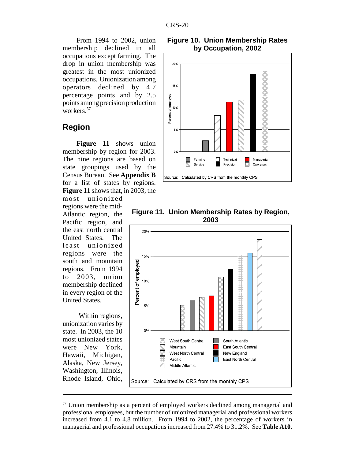From 1994 to 2002, union membership declined in all occupations except farming. The drop in union membership was greatest in the most unionized occupations. Unionization among operators declined by 4.7 percentage points and by 2.5 points among precision production workers.57

#### **Region**

**Figure 11** shows union membership by region for 2003. The nine regions are based on state groupings used by the Census Bureau. See **Appendix B** for a list of states by regions. **Figure 11** shows that, in 2003, the

most unionized regions were the mid-Atlantic region, the Pacific region, and the east north central United States. The least unionized regions were the south and mountain regions. From 1994 to 2003, union membership declined in every region of the United States.

 Within regions, unionization varies by state. In 2003, the 10 most unionized states were New York, Hawaii, Michigan, Alaska, New Jersey, Washington, Illinois, Rhode Island, Ohio,





#### **Figure 11. Union Membership Rates by Region, 2003**



<sup>&</sup>lt;sup>57</sup> Union membership as a percent of employed workers declined among managerial and professional employees, but the number of unionized managerial and professional workers increased from 4.1 to 4.8 million. From 1994 to 2002, the percentage of workers in managerial and professional occupations increased from 27.4% to 31.2%. See **Table A10**.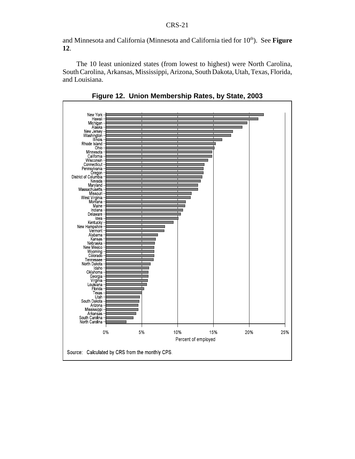and Minnesota and California (Minnesota and California tied for 10<sup>th</sup>). See **Figure 12**.

The 10 least unionized states (from lowest to highest) were North Carolina, South Carolina, Arkansas, Mississippi, Arizona, South Dakota, Utah, Texas, Florida, and Louisiana.



**Figure 12. Union Membership Rates, by State, 2003**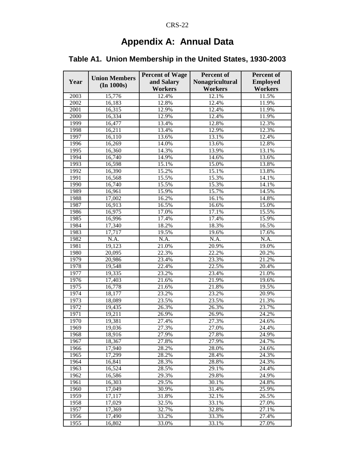## **Appendix A: Annual Data**

## **Table A1. Union Membership in the United States, 1930-2003**

|              | <b>Union Members</b> | <b>Percent of Wage</b> | Percent of             | Percent of      |
|--------------|----------------------|------------------------|------------------------|-----------------|
| Year         |                      | and Salary             | <b>Nonagricultural</b> | <b>Employed</b> |
|              | (In 1000s)           | <b>Workers</b>         | <b>Workers</b>         | <b>Workers</b>  |
| 2003         | 15,776               | 12.4%                  | 12.1%                  | 11.5%           |
| 2002         | 16,183               | 12.8%                  | 12.4%                  | 11.9%           |
| 2001         | 16,315               | 12.9%                  | 12.4%                  | 11.9%           |
| 2000         | 16,334               | 12.9%                  | 12.4%                  | 11.9%           |
| 1999         | 16,477               | 13.4%                  | 12.8%                  | 12.3%           |
| 1998         | 16,211               | 13.4%                  | 12.9%                  | 12.3%           |
| 1997         | 16,110               | 13.6%                  | 13.1%                  | 12.4%           |
| 1996         | 16,269               | 14.0%                  | 13.6%                  | 12.8%           |
| 1995         | 16,360               | 14.3%                  | 13.9%                  | 13.1%           |
| 1994         | 16,740               | 14.9%                  | 14.6%                  | 13.6%           |
| 1993         | 16,598               | 15.1%                  | 15.0%                  | 13.8%           |
| 1992         | 16,390               | 15.2%                  | 15.1%                  | 13.8%           |
| 1991         | 16,568               | 15.5%                  | 15.3%                  | 14.1%           |
| 1990         | 16,740               | 15.5%                  | 15.3%                  | 14.1%           |
| 1989         | 16,961               | 15.9%                  | 15.7%                  | 14.5%           |
| 1988         | 17,002               | 16.2%                  | 16.1%                  | 14.8%           |
| 1987         | 16,913               | 16.5%                  | 16.6%                  | 15.0%           |
| 1986         | 16,975               | 17.0%                  | 17.1%                  | 15.5%           |
| 1985         | 16,996               | 17.4%                  | 17.4%                  | 15.9%           |
| 1984         | 17,340               | 18.2%                  | 18.3%                  | 16.5%           |
| 1983         | 17,717               | 19.5%                  | 19.6%                  | 17.6%           |
| 1982         | N.A.                 | N.A.                   | N.A.                   | N.A.            |
| 1981         | 19,123               | 21.0%                  | 20.9%                  | 19.0%           |
| 1980         | 20,095               | 22.3%                  | 22.2%                  | 20.2%           |
| 1979         | 20,986               | 23.4%                  | 23.3%                  | 21.2%           |
| 1978         | 19,548               | 22.4%                  | 22.5%                  | 20.4%           |
| 1977         | 19,335               | 23.2%                  | 23.4%                  | 21.0%           |
| 1976         | 17,403               | 21.6%                  | 21.9%                  | 19.6%           |
| 1975         | 16,778               | 21.6%                  | 21.8%                  | 19.5%           |
| 1974         | 18,177               | 23.2%                  | 23.2%                  | 20.9%           |
| 1973         | 18,089               | 23.5%                  | 23.5%                  | 21.3%<br>23.7%  |
| 1972<br>1971 | 19,435<br>19,211     | 26.3%<br>26.9%         | 26.3%<br>26.9%         | 24.2%           |
| 1970         | 19,381               | 27.4%                  | 27.3%                  | 24.6%           |
| 1969         | 19,036               | 27.3%                  | 27.0%                  | 24.4%           |
| 1968         | 18,916               | 27.9%                  | 27.8%                  | 24.9%           |
| 1967         | 18,367               | 27.8%                  | 27.9%                  | 24.7%           |
| 1966         | 17,940               | 28.2%                  | 28.0%                  | 24.6%           |
| 1965         | 17,299               | 28.2%                  | 28.4%                  | 24.3%           |
| 1964         | 16,841               | 28.3%                  | 28.8%                  | 24.3%           |
| 1963         | 16,524               | 28.5%                  | 29.1%                  | 24.4%           |
| 1962         | 16,586               | 29.3%                  | 29.8%                  | 24.9%           |
| 1961         | 16,303               | 29.5%                  | 30.1%                  | 24.8%           |
| 1960         | 17,049               | 30.9%                  | 31.4%                  | 25.9%           |
| 1959         | 17,117               | 31.8%                  | 32.1%                  | 26.5%           |
| 1958         | 17,029               | 32.5%                  | 33.1%                  | 27.0%           |
| 1957         | 17,369               | 32.7%                  | 32.8%                  | 27.1%           |
| 1956         | 17,490               | 33.2%                  | 33.3%                  | 27.4%           |
| 1955         | 16,802               | 33.0%                  | 33.1%                  | 27.0%           |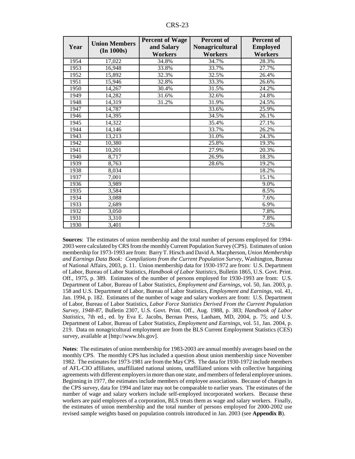| Year | <b>Union Members</b><br>(In 1000s) | <b>Percent of Wage</b><br>and Salary<br><b>Workers</b> | <b>Percent of</b><br>Nonagricultural<br><b>Workers</b> | <b>Percent of</b><br><b>Employed</b><br><b>Workers</b> |
|------|------------------------------------|--------------------------------------------------------|--------------------------------------------------------|--------------------------------------------------------|
| 1954 | 17,022                             | 34.8%                                                  | 34.7%                                                  | 28.3%                                                  |
| 1953 | 16,948                             | 33.8%                                                  | 33.7%                                                  | 27.7%                                                  |
| 1952 | 15,892                             | 32.3%                                                  | 32.5%                                                  | 26.4%                                                  |
| 1951 | 15,946                             | 32.8%                                                  | 33.3%                                                  | 26.6%                                                  |
| 1950 | 14,267                             | 30.4%                                                  | 31.5%                                                  | 24.2%                                                  |
| 1949 | 14,282                             | 31.6%                                                  | 32.6%                                                  | 24.8%                                                  |
| 1948 | 14,319                             | 31.2%                                                  | 31.9%                                                  | 24.5%                                                  |
| 1947 | 14,787                             |                                                        | 33.6%                                                  | 25.9%                                                  |
| 1946 | 14,395                             |                                                        | 34.5%                                                  | 26.1%                                                  |
| 1945 | 14,322                             |                                                        | 35.4%                                                  | 27.1%                                                  |
| 1944 | 14,146                             |                                                        | 33.7%                                                  | 26.2%                                                  |
| 1943 | 13,213                             |                                                        | 31.0%                                                  | 24.3%                                                  |
| 1942 | 10,380                             |                                                        | 25.8%                                                  | 19.3%                                                  |
| 1941 | 10,201                             |                                                        | 27.9%                                                  | 20.3%                                                  |
| 1940 | 8,717                              |                                                        | 26.9%                                                  | 18.3%                                                  |
| 1939 | 8,763                              |                                                        | 28.6%                                                  | 19.2%                                                  |
| 1938 | 8,034                              |                                                        |                                                        | 18.2%                                                  |
| 1937 | 7,001                              |                                                        |                                                        | 15.1%                                                  |
| 1936 | 3,989                              |                                                        |                                                        | 9.0%                                                   |
| 1935 | 3,584                              |                                                        |                                                        | 8.5%                                                   |
| 1934 | 3,088                              |                                                        |                                                        | 7.6%                                                   |
| 1933 | 2,689                              |                                                        |                                                        | 6.9%                                                   |
| 1932 | 3,050                              |                                                        |                                                        | 7.8%                                                   |
| 1931 | 3,310                              |                                                        |                                                        | 7.8%                                                   |
| 1930 | 3,401                              |                                                        |                                                        | 7.5%                                                   |

**Sources**: The estimates of union membership and the total number of persons employed for 1994- 2003 were calculated by CRS from the monthly Current Population Survey (CPS). Estimates of union membership for 1973-1993 are from: Barry T. Hirsch and David A. Macpherson, *Union Membership and Earnings Data Book: Compilations from the Current Population Survey*, Washington, Bureau of National Affairs, 2003, p. 11. Union membership data for 1930-1972 are from: U.S. Department of Labor, Bureau of Labor Statistics, *Handbook of Labor Statistics*, Bulletin 1865, U.S. Govt. Print. Off., 1975, p. 389. Estimates of the number of persons employed for 1930-1993 are from: U.S. Department of Labor, Bureau of Labor Statistics, *Employment and Earnings*, vol. 50, Jan. 2003, p. 158 and U.S. Department of Labor, Bureau of Labor Statistics, *Employment and Earnings*, vol. 41, Jan. 1994, p. 182. Estimates of the number of wage and salary workers are from: U.S. Department of Labor, Bureau of Labor Statistics, *Labor Force Statistics Derived From the Current Population Survey, 1948-87*, Bulletin 2307, U.S. Govt. Print. Off., Aug. 1988, p. 383; *Handbook of Labor Statistics*, 7th ed., ed. by Eva E. Jacobs, Bernan Press, Lanham, MD, 2004, p. 75; and U.S. Department of Labor, Bureau of Labor Statistics, *Employment and Earnings*, vol. 51, Jan. 2004, p. 219. Data on nonagricultural employment are from the BLS Current Employment Statistics (CES) survey, available at [http://www.bls.gov].

**Notes**: The estimates of union membership for 1983-2003 are annual monthly averages based on the monthly CPS. The monthly CPS has included a question about union membership since November 1982. The estimates for 1973-1981 are from the May CPS. The data for 1930-1972 include members of AFL-CIO affiliates, unaffiliated national unions, unaffiliated unions with collective bargaining agreements with different employers in more than one state, and members of federal employee unions. Beginning in 1977, the estimates include members of employee associations. Because of changes in the CPS survey, data for 1994 and later may not be comparable to earlier years. The estimates of the number of wage and salary workers include self-employed incorporated workers. Because these workers are paid employees of a corporation, BLS treats them as wage and salary workers. Finally, the estimates of union membership and the total number of persons employed for 2000-2002 use revised sample weights based on population controls introduced in Jan. 2003 (see **Appendix B**).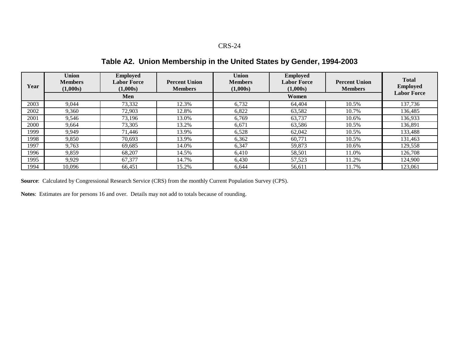**Table A2. Union Membership in the United States by Gender, 1994-2003**

| Year | <b>Union</b><br><b>Members</b><br>(1,000s) | <b>Employed</b><br><b>Labor Force</b><br>(1,000s) | <b>Percent Union</b><br><b>Members</b> | <b>Union</b><br><b>Members</b><br>(1,000s) | <b>Employed</b><br><b>Labor Force</b><br>(1,000s) | <b>Percent Union</b><br><b>Members</b> | <b>Total</b><br><b>Employed</b><br><b>Labor Force</b> |
|------|--------------------------------------------|---------------------------------------------------|----------------------------------------|--------------------------------------------|---------------------------------------------------|----------------------------------------|-------------------------------------------------------|
|      |                                            | Men                                               |                                        |                                            | Women                                             |                                        |                                                       |
| 2003 | 9,044                                      | 73,332                                            | 12.3%                                  | 6,732                                      | 64.404                                            | 10.5%                                  | 137,736                                               |
| 2002 | 9,360                                      | 72.903                                            | 12.8%                                  | 6,822                                      | 63,582                                            | 10.7%                                  | 136,485                                               |
| 2001 | 9,546                                      | 73,196                                            | 13.0%                                  | 6,769                                      | 63,737                                            | 10.6%                                  | 136,933                                               |
| 2000 | 9.664                                      | 73,305                                            | 13.2%                                  | 6,671                                      | 63,586                                            | 10.5%                                  | 136,891                                               |
| 1999 | 9.949                                      | 71.446                                            | 13.9%                                  | 6,528                                      | 62,042                                            | 10.5%                                  | 133,488                                               |
| 1998 | 9,850                                      | 70,693                                            | 13.9%                                  | 6,362                                      | 60,771                                            | 10.5%                                  | 131,463                                               |
| 1997 | 9,763                                      | 69.685                                            | 14.0%                                  | 6.347                                      | 59.873                                            | 10.6%                                  | 129,558                                               |
| 1996 | 9,859                                      | 68,207                                            | 14.5%                                  | 6,410                                      | 58,501                                            | 11.0%                                  | 126,708                                               |
| 1995 | 9,929                                      | 67,377                                            | 14.7%                                  | 6,430                                      | 57,523                                            | 11.2%                                  | 124,900                                               |
| 1994 | 10.096                                     | 66,451                                            | 15.2%                                  | 6.644                                      | 56.611                                            | 11.7%                                  | 123,061                                               |

**Source**: Calculated by Congressional Research Service (CRS) from the monthly Current Population Survey (CPS).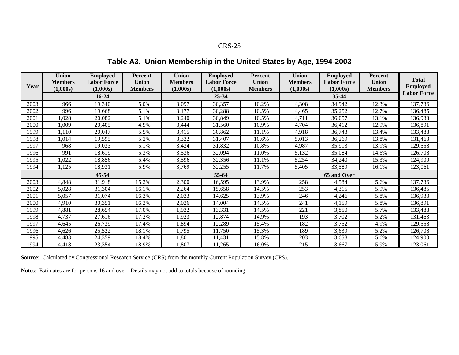**Table A3. Union Membership in the United States by Age, 1994-2003**

|      | <b>Union</b><br><b>Members</b> | <b>Employed</b><br><b>Labor Force</b> | Percent<br><b>Union</b> | <b>Union</b><br><b>Members</b> | <b>Employed</b><br><b>Labor Force</b> | Percent<br><b>Union</b> | <b>Union</b><br><b>Members</b> | <b>Employed</b><br><b>Labor Force</b> | Percent<br><b>Union</b> | <b>Total</b>       |
|------|--------------------------------|---------------------------------------|-------------------------|--------------------------------|---------------------------------------|-------------------------|--------------------------------|---------------------------------------|-------------------------|--------------------|
| Year | (1,000s)                       | (1,000s)                              | <b>Members</b>          | (1,000s)                       | (1,000s)                              | <b>Members</b>          | (1,000s)                       | (1,000s)                              | <b>Members</b>          | <b>Employed</b>    |
|      |                                | $16 - 24$                             |                         |                                | 25-34                                 |                         |                                | $35 - 44$                             |                         | <b>Labor Force</b> |
| 2003 | 966                            | 19,340                                | 5.0%                    | 3,097                          | 30,357                                | 10.2%                   | 4,308                          | 34,942                                | 12.3%                   | 137,736            |
| 2002 | 996                            | 19.668                                | 5.1%                    | 3,177                          | 30,288                                | 10.5%                   | 4,465                          | 35,252                                | 12.7%                   | 136,485            |
| 2001 | 1,028                          | 20,082                                | 5.1%                    | 3,240                          | 30,849                                | 10.5%                   | 4,711                          | 36,057                                | 13.1%                   | 136,933            |
| 2000 | 1,009                          | 20,405                                | 4.9%                    | 3,444                          | 31,560                                | 10.9%                   | 4,704                          | 36,412                                | 12.9%                   | 136,891            |
| 1999 | 1,110                          | 20,047                                | 5.5%                    | 3,415                          | 30,862                                | 11.1%                   | 4,918                          | 36,743                                | 13.4%                   | 133,488            |
| 1998 | 1,014                          | 19,595                                | 5.2%                    | 3,332                          | 31,407                                | 10.6%                   | 5,013                          | 36,269                                | 13.8%                   | 131,463            |
| 1997 | 968                            | 19,033                                | 5.1%                    | 3,434                          | 31,832                                | 10.8%                   | 4,987                          | 35,913                                | 13.9%                   | 129,558            |
| 1996 | 991                            | 18,619                                | 5.3%                    | 3,536                          | 32,094                                | 11.0%                   | 5,132                          | 35,084                                | 14.6%                   | 126,708            |
| 1995 | 1,022                          | 18,856                                | 5.4%                    | 3,596                          | 32,356                                | 11.1%                   | 5,254                          | 34,240                                | 15.3%                   | 124,900            |
| 1994 | 1,125                          | 18,931                                | 5.9%                    | 3,769                          | 32,255                                | 11.7%                   | 5,405                          | 33,589                                | 16.1%                   | 123,061            |
|      |                                | 45-54                                 |                         | 55-64                          |                                       |                         |                                |                                       |                         |                    |
| 2003 | 4,848                          | 31,918                                | 15.2%                   | 2,300                          | 16,595                                | 13.9%                   | 258                            | 4,584                                 | 5.6%                    | 137,736            |
| 2002 | 5,028                          | 31,304                                | 16.1%                   | 2,264                          | 15,658                                | 14.5%                   | 253                            | 4,315                                 | 5.9%                    | 136,485            |
| 2001 | 5,057                          | 31,074                                | 16.3%                   | 2,033                          | 14,625                                | 13.9%                   | 246                            | 4,246                                 | 5.8%                    | 136,933            |
| 2000 | 4,910                          | 30,351                                | 16.2%                   | 2,026                          | 14,004                                | 14.5%                   | 241                            | 4,159                                 | 5.8%                    | 136,891            |
| 1999 | 4,881                          | 28,654                                | 17.0%                   | 1,932                          | 13,331                                | 14.5%                   | 221                            | 3,850                                 | 5.7%                    | 133,488            |
| 1998 | 4,737                          | 27,616                                | 17.2%                   | 1,923                          | 12,874                                | 14.9%                   | 193                            | 3,702                                 | 5.2%                    | 131,463            |
| 1997 | 4,645                          | 26,739                                | 17.4%                   | ,894                           | 12,289                                | 15.4%                   | 182                            | 3,752                                 | 4.9%                    | 129,558            |
| 1996 | 4,626                          | 25,522                                | 18.1%                   | 1,795                          | 11,750                                | 15.3%                   | 189                            | 3,639                                 | 5.2%                    | 126,708            |
| 1995 | 4,483                          | 24,359                                | 18.4%                   | ,801                           | 11,431                                | 15.8%                   | 203                            | 3,658                                 | 5.6%                    | 124,900            |
| 1994 | 4,418                          | 23,354                                | 18.9%                   | ,807                           | 11,265                                | 16.0%                   | 215                            | 3,667                                 | 5.9%                    | 123,061            |

**Source**: Calculated by Congressional Research Service (CRS) from the monthly Current Population Survey (CPS).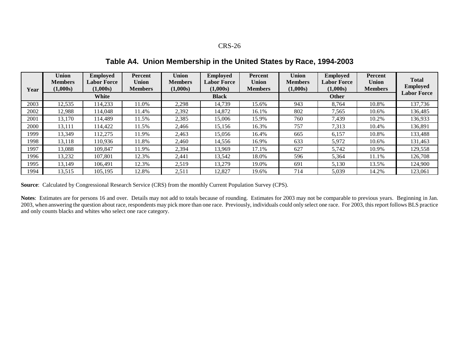**Table A4. Union Membership in the United States by Race, 1994-2003**

|      | Union<br><b>Members</b><br>(1,000s) | <b>Employed</b><br><b>Labor Force</b><br>(1,000s) | Percent<br><b>Union</b><br><b>Members</b> | <b>Union</b><br><b>Members</b><br>(1,000s) | <b>Employed</b><br><b>Labor Force</b><br>(1,000s) | Percent<br><b>Union</b><br><b>Members</b> | <b>Union</b><br><b>Members</b><br>(1,000s) | <b>Employed</b><br><b>Labor Force</b><br>(1,000s) | <b>Percent</b><br>Union<br><b>Members</b> | <b>Total</b><br><b>Employed</b> |
|------|-------------------------------------|---------------------------------------------------|-------------------------------------------|--------------------------------------------|---------------------------------------------------|-------------------------------------------|--------------------------------------------|---------------------------------------------------|-------------------------------------------|---------------------------------|
| Year | White                               |                                                   |                                           | <b>Black</b>                               |                                                   |                                           | <b>Other</b>                               |                                                   |                                           | <b>Labor Force</b>              |
| 2003 | 12,535                              | 114,233                                           | 11.0%                                     | 2,298                                      | 14,739                                            | 15.6%                                     | 943                                        | 8,764                                             | 10.8%                                     | 137,736                         |
| 2002 | 12,988                              | 14,048                                            | 11.4%                                     | 2,392                                      | 14,872                                            | 16.1%                                     | 802                                        | 7,565                                             | 10.6%                                     | 136,485                         |
| 2001 | 13,170                              | 114,489                                           | 1.5%                                      | 2,385                                      | 15,006                                            | 15.9%                                     | 760                                        | 7,439                                             | 10.2%                                     | 136,933                         |
| 2000 | 13,111                              | 114,422                                           | 11.5%                                     | 2,466                                      | 15,156                                            | 16.3%                                     | 757                                        | 7,313                                             | 10.4%                                     | 136,891                         |
| 1999 | 13,349                              | 112,275                                           | 1.9%                                      | 2,463                                      | 15,056                                            | 16.4%                                     | 665                                        | 6,157                                             | 10.8%                                     | 133,488                         |
| 1998 | 13,118                              | 110,936                                           | 11.8%                                     | 2,460                                      | 14,556                                            | 16.9%                                     | 633                                        | 5,972                                             | 10.6%                                     | 131,463                         |
| 1997 | 13,088                              | 109.847                                           | 11.9%                                     | 2,394                                      | 13.969                                            | 17.1%                                     | 627                                        | 5,742                                             | 10.9%                                     | 129,558                         |
| 1996 | 13,232                              | 107,801                                           | 12.3%                                     | 2,441                                      | 13,542                                            | 18.0%                                     | 596                                        | 5,364                                             | 11.1%                                     | 126,708                         |
| 1995 | 13,149                              | 106,491                                           | 12.3%                                     | 2,519                                      | 13,279                                            | 19.0%                                     | 691                                        | 5,130                                             | 13.5%                                     | 124,900                         |
| 1994 | 13,515                              | 105,195                                           | 12.8%                                     | 2,511                                      | 12,827                                            | 19.6%                                     | 714                                        | 5,039                                             | 14.2%                                     | 123,061                         |

**Source**: Calculated by Congressional Research Service (CRS) from the monthly Current Population Survey (CPS).

**Notes**: Estimates are for persons 16 and over. Details may not add to totals because of rounding. Estimates for 2003 may not be comparable to previous years. Beginning in Jan. 2003, when answering the question about race, respondents may pick more than one race. Previously, individuals could only select one race. For 2003, this report follows BLS practice and only counts blacks and whites who select one race category.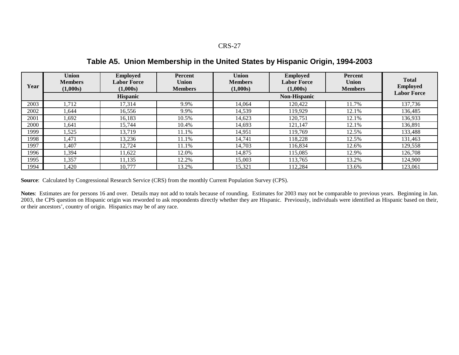**Table A5. Union Membership in the United States by Hispanic Origin, 1994-2003**

| Year | <b>Union</b><br><b>Members</b><br>(1,000s) | <b>Employed</b><br><b>Labor Force</b><br>(1,000s) | <b>Percent</b><br><b>Union</b><br><b>Members</b> | <b>Union</b><br><b>Members</b><br>(1,000s) | <b>Employed</b><br><b>Labor Force</b><br>(1,000s) | <b>Percent</b><br><b>Union</b><br><b>Members</b> | <b>Total</b><br><b>Employed</b> |
|------|--------------------------------------------|---------------------------------------------------|--------------------------------------------------|--------------------------------------------|---------------------------------------------------|--------------------------------------------------|---------------------------------|
|      |                                            | <b>Hispanic</b>                                   |                                                  |                                            | <b>Labor Force</b>                                |                                                  |                                 |
| 2003 | 1,712                                      | 17,314                                            | 9.9%                                             | 14,064                                     | 120,422                                           | 1.7%                                             | 137,736                         |
| 2002 | 1.644                                      | 16,556                                            | 9.9%                                             | 14,539                                     | 119,929                                           | 12.1%                                            | 136,485                         |
| 2001 | 1,692                                      | 16,183                                            | 10.5%                                            | 14,623                                     | 120,751                                           | 12.1%                                            | 136,933                         |
| 2000 | 1,641                                      | 15.744                                            | 10.4%                                            | 14,693                                     | 121,147                                           | 12.1%                                            | 136,891                         |
| 1999 | 1,525                                      | 13.719                                            | 11.1%                                            | 14.951                                     | 119,769                                           | 12.5%                                            | 133,488                         |
| 1998 | 1,471                                      | 13,236                                            | 11.1%                                            | 14,741                                     | 118,228                                           | 12.5%                                            | 131,463                         |
| 1997 | l.407                                      | 12.724                                            | 11.1%                                            | 14.703                                     | 116,834                                           | 12.6%                                            | 129,558                         |
| 1996 | 1,394                                      | 11,622                                            | 12.0%                                            | 14,875                                     | 115,085                                           | 12.9%                                            | 126,708                         |
| 1995 | 1,357                                      | 11,135                                            | 12.2%                                            | 15,003                                     | 113,765                                           | 13.2%                                            | 124,900                         |
| 1994 | l,420                                      | 10.777                                            | 13.2%                                            | 15,321                                     | 112,284                                           | 13.6%                                            | 123.061                         |

**Source**: Calculated by Congressional Research Service (CRS) from the monthly Current Population Survey (CPS).

**Notes**: Estimates are for persons 16 and over. Details may not add to totals because of rounding. Estimates for 2003 may not be comparable to previous years. Beginning in Jan. 2003, the CPS question on Hispanic origin was reworded to ask respondents directly whether they are Hispanic. Previously, individuals were identified as Hispanic based on their, or their ancestors', country of origin. Hispanics may be of any race.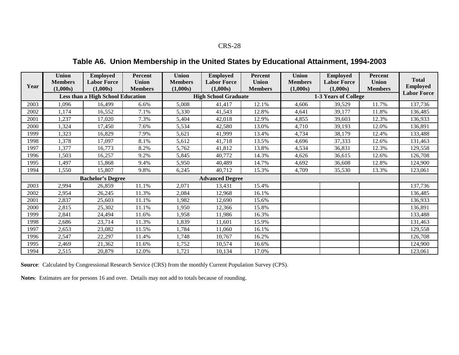## **Table A6. Union Membership in the United States by Educational Attainment, 1994-2003**

| Year | <b>Union</b><br><b>Members</b><br>(1,000s) | <b>Employed</b><br><b>Labor Force</b><br>(1,000s) | Percent<br>Union<br><b>Members</b> | <b>Union</b><br><b>Members</b><br>(1,000s) | <b>Employed</b><br><b>Labor Force</b><br>(1,000s) | Percent<br><b>Union</b><br><b>Members</b> | <b>Union</b><br><b>Members</b><br>(1,000s) | <b>Employed</b><br><b>Labor Force</b><br>(1,000s) | Percent<br><b>Union</b><br><b>Members</b> | <b>Total</b><br><b>Employed</b> |
|------|--------------------------------------------|---------------------------------------------------|------------------------------------|--------------------------------------------|---------------------------------------------------|-------------------------------------------|--------------------------------------------|---------------------------------------------------|-------------------------------------------|---------------------------------|
|      |                                            | <b>Less than a High School Education</b>          |                                    |                                            | <b>High School Graduate</b>                       |                                           |                                            | 1-3 Years of College                              | <b>Labor Force</b>                        |                                 |
| 2003 | 1,096                                      | 16,499                                            | 6.6%                               | 5,008                                      | 41,417                                            | 12.1%                                     | 4,606                                      | 39,529                                            | 11.7%                                     | 137,736                         |
| 2002 | 1,174                                      | 16,552                                            | 7.1%                               | 5,330                                      | 41,543                                            | 12.8%                                     | 4,641                                      | 39,177                                            | 11.8%                                     | 136,485                         |
| 2001 | 1,237                                      | 17,020                                            | 7.3%                               | 5,404                                      | 42,018                                            | 12.9%                                     | 4,855                                      | 39,603                                            | 12.3%                                     | 136,933                         |
| 2000 | 1,324                                      | 17,450                                            | 7.6%                               | 5,534                                      | 42,580                                            | 13.0%                                     | 4,710                                      | 39,193                                            | 12.0%                                     | 136,891                         |
| 1999 | 1,323                                      | 16,829                                            | 7.9%                               | 5,621                                      | 41,999                                            | 13.4%                                     | 4,734                                      | 38,179                                            | 12.4%                                     | 133,488                         |
| 1998 | 1,378                                      | 17,097                                            | 8.1%                               | 5,612                                      | 41,718                                            | 13.5%                                     | 4,696                                      | 37,333                                            | 12.6%                                     | 131,463                         |
| 1997 | 1,377                                      | 16,773                                            | 8.2%                               | 5,762                                      | 41,812                                            | 13.8%                                     | 4,534                                      | 36,831                                            | 12.3%                                     | 129,558                         |
| 1996 | 1,503                                      | 16,257                                            | 9.2%                               | 5,845                                      | 40,772                                            | 14.3%                                     | 4.626                                      | 36,615                                            | 12.6%                                     | 126,708                         |
| 1995 | 1,497                                      | 15,868                                            | 9.4%                               | 5,950                                      | 40,489                                            | 14.7%                                     | 4,692                                      | 36,608                                            | 12.8%                                     | 124,900                         |
| 1994 | 1,550                                      | 15,807                                            | 9.8%                               | 6,245                                      | 40,712                                            | 15.3%                                     | 4,709                                      | 35,530                                            | 13.3%                                     | 123,061                         |
|      |                                            | <b>Bachelor's Degree</b>                          |                                    | <b>Advanced Degree</b>                     |                                                   |                                           |                                            |                                                   |                                           |                                 |
| 2003 | 2,994                                      | 26,859                                            | 11.1%                              | 2,071                                      | 13,431                                            | 15.4%                                     |                                            |                                                   |                                           | 137,736                         |
| 2002 | 2,954                                      | 26,245                                            | 11.3%                              | 2,084                                      | 12,968                                            | 16.1%                                     |                                            |                                                   |                                           | 136,485                         |
| 2001 | 2,837                                      | 25,603                                            | 11.1%                              | 1,982                                      | 12,690                                            | 15.6%                                     |                                            |                                                   |                                           | 136,933                         |
| 2000 | 2,815                                      | 25,302                                            | 11.1%                              | 1,950                                      | 12,366                                            | 15.8%                                     |                                            |                                                   |                                           | 136,891                         |
| 1999 | 2,841                                      | 24,494                                            | 11.6%                              | 1,958                                      | 11,986                                            | 16.3%                                     |                                            |                                                   |                                           | 133,488                         |
| 1998 | 2,686                                      | 23,714                                            | 11.3%                              | 1,839                                      | 11,601                                            | 15.9%                                     |                                            |                                                   |                                           | 131,463                         |
| 1997 | 2,653                                      | 23,082                                            | 11.5%                              | 1,784                                      | 11,060                                            | 16.1%                                     |                                            |                                                   |                                           | 129,558                         |
| 1996 | 2,547                                      | 22,297                                            | 11.4%                              | 1,748                                      | 10,767                                            | 16.2%                                     |                                            |                                                   |                                           | 126,708                         |
| 1995 | 2,469                                      | 21,362                                            | 11.6%                              | 1,752                                      | 10,574                                            | 16.6%                                     |                                            |                                                   |                                           | 124,900                         |
| 1994 | 2,515                                      | 20,879                                            | 12.0%                              | 1,721                                      | 10,134                                            | 17.0%                                     |                                            |                                                   |                                           | 123,061                         |

**Source**: Calculated by Congressional Research Service (CRS) from the monthly Current Population Survey (CPS).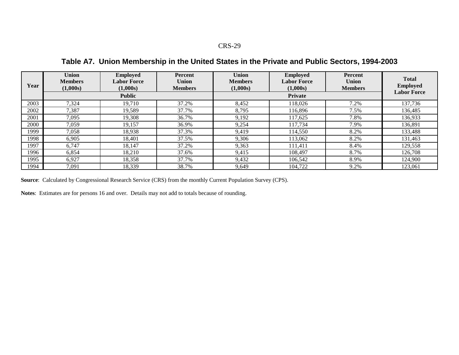**Table A7. Union Membership in the United States in the Private and Public Sectors, 1994-2003**

| Year | <b>Union</b><br><b>Members</b><br>(1,000s) | <b>Employed</b><br><b>Labor Force</b><br>(1,000s) | Percent<br><b>Union</b><br><b>Members</b> | <b>Union</b><br><b>Members</b><br>(1,000s) | <b>Employed</b><br><b>Labor Force</b><br>(1,000s) | <b>Percent</b><br><b>Union</b><br><b>Members</b> | <b>Total</b><br><b>Employed</b><br><b>Labor Force</b> |
|------|--------------------------------------------|---------------------------------------------------|-------------------------------------------|--------------------------------------------|---------------------------------------------------|--------------------------------------------------|-------------------------------------------------------|
|      |                                            | <b>Public</b>                                     |                                           |                                            | Private                                           |                                                  |                                                       |
| 2003 | 7,324                                      | 19,710                                            | 37.2%                                     | 8,452                                      | 118,026                                           | 7.2%                                             | 137,736                                               |
| 2002 | 7,387                                      | 19.589                                            | 37.7%                                     | 8.795                                      | 116,896                                           | 7.5%                                             | 136,485                                               |
| 2001 | 7,095                                      | 19,308                                            | 36.7%                                     | 9,192                                      | 117,625                                           | 7.8%                                             | 136,933                                               |
| 2000 | 7,059                                      | 19.157                                            | 36.9%                                     | 9,254                                      | 117,734                                           | 7.9%                                             | 136,891                                               |
| 1999 | 7,058                                      | 18,938                                            | 37.3%                                     | 9.419                                      | 114,550                                           | 8.2%                                             | 133,488                                               |
| 1998 | 6,905                                      | 18,401                                            | 37.5%                                     | 9,306                                      | 113,062                                           | 8.2%                                             | 131,463                                               |
| 1997 | 6.747                                      | 18.147                                            | 37.2%                                     | 9,363                                      | 111.411                                           | 8.4%                                             | 129,558                                               |
| 1996 | 6,854                                      | 18,210                                            | 37.6%                                     | 9,415                                      | 108,497                                           | 8.7%                                             | 126,708                                               |
| 1995 | 6,927                                      | 18,358                                            | 37.7%                                     | 9,432                                      | 106.542                                           | 8.9%                                             | 124,900                                               |
| 1994 | 7,091                                      | 18,339                                            | 38.7%                                     | 9,649                                      | 104,722                                           | 9.2%                                             | 123,061                                               |

**Source**: Calculated by Congressional Research Service (CRS) from the monthly Current Population Survey (CPS).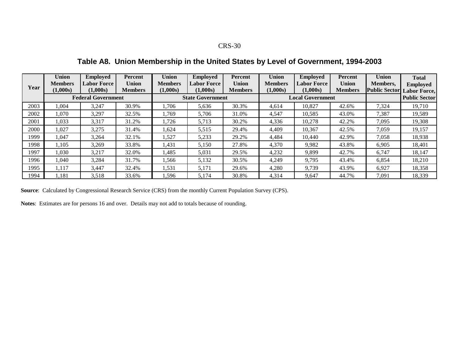**Table A8. Union Membership in the United States by Level of Government, 1994-2003**

|       | <b>Union</b><br><b>Members</b> | <b>Employed</b><br><b>Labor Force</b> | <b>Percent</b><br><b>Union</b> | <b>Union</b><br><b>Members</b> | <b>Employed</b><br><b>Labor Force</b> | Percent<br>Union | <b>Union</b><br><b>Members</b> | <b>Employed</b><br><b>Labor Force</b> | <b>Percent</b><br><b>Union</b> | <b>Union</b><br><b>Members,</b> | <b>Total</b>                           |
|-------|--------------------------------|---------------------------------------|--------------------------------|--------------------------------|---------------------------------------|------------------|--------------------------------|---------------------------------------|--------------------------------|---------------------------------|----------------------------------------|
| Year  | (1.000s)                       | (1.000s)                              | <b>Members</b>                 | (1,000s)                       | (1,000s)                              | <b>Members</b>   | (1,000s)                       | (1,000s)                              | <b>Members</b>                 | <b>Public Sector</b>            | <b>Employed</b><br><b>Labor Force,</b> |
|       |                                | <b>Federal Government</b>             |                                |                                | <b>State Government</b>               |                  |                                | <b>Local Government</b>               |                                | <b>Public Sector</b>            |                                        |
| 2003  | 1,004                          | 3,247                                 | 30.9%                          | ,706                           | 5,636                                 | 30.3%            | 4,614                          | 10,827                                | 42.6%                          | 7,324                           | 19,710                                 |
| 2002  | 1,070                          | 3,297                                 | 32.5%                          | .769                           | 5,706                                 | 31.0%            | 4,547                          | 10,585                                | 43.0%                          | 7,387                           | 19,589                                 |
| 2001  | 1,033                          | 3,317                                 | 31.2%                          | 1.726                          | 5,713                                 | 30.2%            | 4,336                          | 10.278                                | 42.2%                          | 7,095                           | 19,308                                 |
| 2000  | 1,027                          | 3,275                                 | 31.4%                          | .624                           | 5,515                                 | 29.4%            | 4,409                          | 10,367                                | 42.5%                          | 7,059                           | 19,157                                 |
| 1999  | 1.047                          | 3,264                                 | 32.1%                          | ,527                           | 5,233                                 | 29.2%            | 4,484                          | 10.440                                | 42.9%                          | 7,058                           | 18,938                                 |
| 1998. | 1,105                          | 3,269                                 | 33.8%                          | 1,431                          | 5,150                                 | 27.8%            | 4,370                          | 9,982                                 | 43.8%                          | 6,905                           | 18,401                                 |
| 1997  | 1,030                          | 3,217                                 | 32.0%                          | 1,485                          | 5,031                                 | 29.5%            | 4,232                          | 9.899                                 | 42.7%                          | 6.747                           | 18,147                                 |
| 1996- | 1.040                          | 3,284                                 | 31.7%                          | .566                           | 5,132                                 | 30.5%            | 4,249                          | 9,795                                 | 43.4%                          | 6,854                           | 18,210                                 |
| 1995  | 1,117                          | 3,447                                 | 32.4%                          | 1,531                          | 5,171                                 | 29.6%            | 4,280                          | 9,739                                 | 43.9%                          | 6,927                           | 18,358                                 |
| 1994  | .181                           | 3,518                                 | 33.6%                          | .596                           | 5,174                                 | 30.8%            | 4,314                          | 9,647                                 | 44.7%                          | 7,091                           | 18,339                                 |

**Source**: Calculated by Congressional Research Service (CRS) from the monthly Current Population Survey (CPS).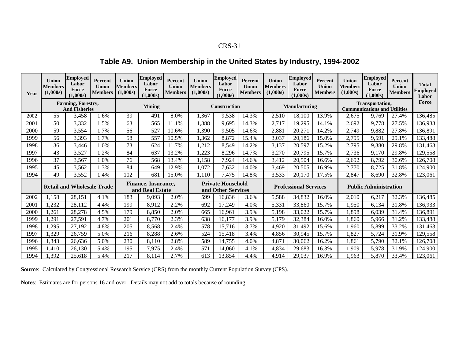## **Table A9. Union Membership in the United States by Industry, 1994-2002**

| Year | Union<br><b>Members</b><br>(1,000s)               | <b>Employed</b><br>Labor<br>Force<br>(1.000s) | Percent<br>Union<br><b>Members</b> | <b>Union</b><br><b>Members</b><br>(1,000s) | <b>Employed</b><br>Labor<br>Force<br>(1.000s) | Percent<br>Union<br><b>Members</b> | <b>Union</b><br>Members<br>(1,000s) | <b>Employed</b><br>Labor<br>Force<br>(1.000s)  | <b>Percent</b><br>Union<br><b>Members</b> | <b>Union</b><br><b>Members</b><br>(1,000s) | <b>Employed</b><br>Labor<br>Force<br>(1.000s) | Percent<br>Union<br><b>Members</b>                     | <b>Union</b><br><b>Members</b><br>(1,000s) | <b>Employed</b><br>Labor<br>Force<br>(1.000s) | <b>Percent</b><br>Union<br><b>Members</b> | <b>Total</b><br>Employed<br>Labor |
|------|---------------------------------------------------|-----------------------------------------------|------------------------------------|--------------------------------------------|-----------------------------------------------|------------------------------------|-------------------------------------|------------------------------------------------|-------------------------------------------|--------------------------------------------|-----------------------------------------------|--------------------------------------------------------|--------------------------------------------|-----------------------------------------------|-------------------------------------------|-----------------------------------|
|      | <b>Farming, Forestry,</b><br><b>And Fisheries</b> |                                               | Mining                             |                                            |                                               | <b>Construction</b>                |                                     |                                                | <b>Manufacturing</b>                      |                                            |                                               | Transportation,<br><b>Communications and Utilities</b> | Force                                      |                                               |                                           |                                   |
| 2002 | 55                                                | 3,458                                         | 1.6%                               | 39                                         | 491                                           | 8.0%                               | 1,367                               | 9,538                                          | 14.3%                                     | 2,510                                      | 18,100                                        | 13.9%                                                  | 2,675                                      | 9.769                                         | 27.4%                                     | 136,485                           |
| 2001 | 50                                                | 3,332                                         | .5%                                | 63                                         | 565                                           | 1.1%                               | ,388                                | 9.695                                          | 14.3%                                     | 2,717                                      | 19,295                                        | 14.1%                                                  | 2.692                                      | 9,778                                         | 27.5%                                     | 136,933                           |
| 2000 | 59                                                | 3,554                                         | 1.7%                               | 56                                         | 527                                           | 10.6%                              | ,390                                | 9,505                                          | 14.6%                                     | 2,88                                       | 20,271                                        | 14.2%                                                  | 2,749                                      | 9,882                                         | 27.8%                                     | 136,891                           |
| 1999 | 56                                                | 3,393                                         | 1.7%                               | 58                                         | 557                                           | 10.5%                              | 1,362                               | 8,872                                          | 15.4%                                     | 3,037                                      | 20,186                                        | 15.0%                                                  | 2,795                                      | 9,591                                         | 29.1%                                     | 133,488                           |
| 1998 | 36                                                | 3,446                                         | 1.0%                               | 73                                         | 624                                           | 1.7%                               | ,212                                | 8,549                                          | 14.2%                                     | 3,137                                      | 20,597                                        | 15.2%                                                  | 2,795                                      | 9,380                                         | 29.8%                                     | 131,463                           |
| 1997 | 43                                                | 3,527                                         | .2%                                | 84                                         | 637                                           | 13.2%                              | ,223                                | 8,296                                          | 14.7%                                     | 3,270                                      | 20.795                                        | 15.7%                                                  | 2,736                                      | 9,170                                         | 29.8%                                     | 129,558                           |
| 1996 | 37                                                | 3,567                                         | 1.0%                               | 76                                         | 568                                           | 13.4%                              | 1,158                               | 7,924                                          | 14.6%                                     | 3,412                                      | 20,504                                        | 16.6%                                                  | 2.692                                      | 8,792                                         | 30.6%                                     | 126,708                           |
| 1995 | 45                                                | 3,562                                         | 1.3%                               | 84                                         | 649                                           | 12.9%                              | 1,072                               | 7,632                                          | 14.0%                                     | 3,469                                      | 20,505                                        | 16.9%                                                  | 2,770                                      | 8,725                                         | 31.8%                                     | 124,900                           |
| 1994 | 49                                                | 3,552                                         | 1.4%                               | 102                                        | 681                                           | 15.0%                              | 1,110                               | 7,475                                          | 14.8%                                     | 3,533                                      | 20,170                                        | 17.5%                                                  | 2,847                                      | 8,690                                         | 32.8%                                     | 123,061                           |
|      | <b>Retail and Wholesale Trade</b>                 |                                               |                                    | Finance, Insurance,<br>and Real Estate     |                                               |                                    |                                     | <b>Private Household</b><br>and Other Services |                                           |                                            | <b>Professional Services</b>                  |                                                        | <b>Public Administration</b>               |                                               |                                           |                                   |
| 2002 | 1,158                                             | 28,151                                        | 4.1%                               | 183                                        | 9,093                                         | 2.0%                               | 599                                 | 16,836                                         | 3.6%                                      | 5,588                                      | 34,832                                        | 16.0%                                                  | 2,010                                      | 6,217                                         | 32.3%                                     | 136,485                           |
| 2001 | 1,232                                             | 28,112                                        | 4.4%                               | 199                                        | 8,912                                         | 2.2%                               | 692                                 | 17,249                                         | 4.0%                                      | 5,331                                      | 33,860                                        | 15.7%                                                  | ,950                                       | 6,134                                         | 31.8%                                     | 136,933                           |
| 2000 | ,261                                              | 28,278                                        | 4.5%                               | 179                                        | 8,850                                         | 2.0%                               | 665                                 | 16,961                                         | 3.9%                                      | 5,198                                      | 33,022                                        | 15.7%                                                  | ,898                                       | 6,039                                         | 31.4%                                     | 136,891                           |
| 1999 | ,291                                              | 27,591                                        | 4.7%                               | 201                                        | 8,770                                         | 2.3%                               | 638                                 | 16,177                                         | 3.9%                                      | 5,179                                      | 32,384                                        | 16.0%                                                  | ,860                                       | 5,966                                         | 31.2%                                     | 133,488                           |
| 1998 | ,295                                              | 27,192                                        | 4.8%                               | 205                                        | 8,568                                         | 2.4%                               | 578                                 | 15,716                                         | 3.7%                                      | 4,920                                      | 31,492                                        | 15.6%                                                  | ,960                                       | 5,899                                         | 33.2%                                     | 131,463                           |
| 1997 | 1.329                                             | 26,759                                        | 5.0%                               | 216                                        | 8,288                                         | 2.6%                               | 524                                 | 15,418                                         | 3.4%                                      | 4,856                                      | 30,945                                        | 15.7%                                                  | .827                                       | 5,724                                         | 31.9%                                     | 129,558                           |
| 1996 | 1,343                                             | 26,636                                        | 5.0%                               | 230                                        | 8,110                                         | 2.8%                               | 589                                 | 14,755                                         | 4.0%                                      | 4,87                                       | 30,062                                        | 16.2%                                                  | ,861                                       | 5,790                                         | 32.1%                                     | 126,708                           |
| 1995 | 1,410                                             | 26,130                                        | 5.4%                               | 195                                        | 7,975                                         | 2.4%                               | 571                                 | 14,060                                         | 4.1%                                      | 4,834                                      | 29,683                                        | 16.3%                                                  | .909                                       | 5,978                                         | 31.9%                                     | 124,900                           |
| 1994 | ,392                                              | 25,618                                        | 5.4%                               | 217                                        | 8,114                                         | 2.7%                               | 613                                 | 13,854                                         | 4.4%                                      | 4,914                                      | 29,037                                        | 16.9%                                                  | .963                                       | 5,870                                         | 33.4%                                     | 123,061                           |

**Source**: Calculated by Congressional Research Service (CRS) from the monthly Current Population Survey (CPS).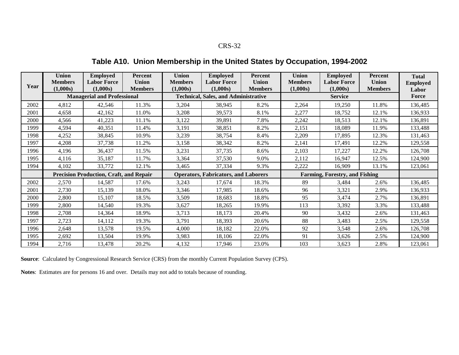**Table A10. Union Membership in the United States by Occupation, 1994-2002**

| Year | <b>Union</b><br><b>Members</b>                 | <b>Employed</b><br><b>Labor Force</b> | <b>Percent</b><br><b>Union</b> | <b>Union</b><br><b>Members</b> | <b>Employed</b><br><b>Labor Force</b>       | Percent<br><b>Union</b> | Union<br><b>Members</b>               | <b>Employed</b><br><b>Labor Force</b> | Percent<br><b>Union</b> | <b>Total</b><br><b>Employed</b> |
|------|------------------------------------------------|---------------------------------------|--------------------------------|--------------------------------|---------------------------------------------|-------------------------|---------------------------------------|---------------------------------------|-------------------------|---------------------------------|
|      | (1,000s)                                       | (1,000s)                              | <b>Members</b>                 | (1,000s)                       | (1,000s)                                    | <b>Members</b>          | (1,000s)                              | (1,000s)<br><b>Service</b>            | <b>Members</b>          | Labor                           |
|      | <b>Managerial and Professional</b>             |                                       |                                |                                | <b>Technical, Sales, and Administrative</b> |                         |                                       | Force                                 |                         |                                 |
| 2002 | 4,812                                          | 42,546                                | 11.3%                          | 3,204                          | 38,945                                      | 8.2%                    | 2,264                                 | 19,250                                | 11.8%                   | 136,485                         |
| 2001 | 4,658                                          | 42,162                                | 11.0%                          | 3,208                          | 39,573                                      | 8.1%                    | 2,277                                 | 18,752                                | 12.1%                   | 136,933                         |
| 2000 | 4,566                                          | 41,223                                | 11.1%                          | 3,122                          | 39,891                                      | 7.8%                    | 2,242                                 | 18,513                                | 12.1%                   | 136,891                         |
| 1999 | 4,594                                          | 40,351                                | 11.4%                          | 3,191                          | 38,851                                      | 8.2%                    | 2,151                                 | 18,089                                | 11.9%                   | 133,488                         |
| 1998 | 4,252                                          | 38,845                                | 10.9%                          | 3,239                          | 38,754                                      | 8.4%                    | 2,209                                 | 17,895                                | 12.3%                   | 131,463                         |
| 1997 | 4,208                                          | 37,738                                | 11.2%                          | 3,158                          | 38,342                                      | 8.2%                    | 2,141                                 | 17,491                                | 12.2%                   | 129,558                         |
| 1996 | 4,196                                          | 36,437                                | 11.5%                          | 3,231                          | 37,735                                      | 8.6%                    | 2,103                                 | 17,227                                | 12.2%                   | 126,708                         |
| 1995 | 4,116                                          | 35,187                                | 11.7%                          | 3,364                          | 37,530                                      | 9.0%                    | 2,112                                 | 16,947                                | 12.5%                   | 124,900                         |
| 1994 | 4,102                                          | 33,772                                | 12.1%                          | 3,465                          | 37,334                                      | 9.3%                    | 2,222                                 | 16,909                                | 13.1%                   | 123,061                         |
|      | <b>Precision Production, Craft, and Repair</b> |                                       |                                |                                | <b>Operators, Fabricators, and Laborers</b> |                         | <b>Farming, Forestry, and Fishing</b> |                                       |                         |                                 |
| 2002 | 2,570                                          | 14,587                                | 17.6%                          | 3,243                          | 17,674                                      | 18.3%                   | 89                                    | 3,484                                 | 2.6%                    | 136,485                         |
| 2001 | 2,730                                          | 15,139                                | 18.0%                          | 3,346                          | 17,985                                      | 18.6%                   | 96                                    | 3,321                                 | 2.9%                    | 136,933                         |
| 2000 | 2,800                                          | 15,107                                | 18.5%                          | 3,509                          | 18,683                                      | 18.8%                   | 95                                    | 3,474                                 | 2.7%                    | 136,891                         |
| 1999 | 2,800                                          | 14,540                                | 19.3%                          | 3,627                          | 18,265                                      | 19.9%                   | 113                                   | 3,392                                 | 3.3%                    | 133,488                         |
| 1998 | 2,708                                          | 14,364                                | 18.9%                          | 3,713                          | 18,173                                      | 20.4%                   | 90                                    | 3,432                                 | 2.6%                    | 131,463                         |
| 1997 | 2,723                                          | 14,112                                | 19.3%                          | 3,791                          | 18,393                                      | 20.6%                   | 88                                    | 3,483                                 | 2.5%                    | 129,558                         |
| 1996 | 2,648                                          | 13,578                                | 19.5%                          | 4,000                          | 18,182                                      | 22.0%                   | 92                                    | 3,548                                 | 2.6%                    | 126,708                         |
| 1995 | 2,692                                          | 13,504                                | 19.9%                          | 3,983                          | 18,106                                      | 22.0%                   | 91                                    | 3,626                                 | 2.5%                    | 124,900                         |
| 1994 | 2,716                                          | 13,478                                | 20.2%                          | 4,132                          | 17,946                                      | 23.0%                   | 103                                   | 3,623                                 | 2.8%                    | 123,061                         |

**Source**: Calculated by Congressional Research Service (CRS) from the monthly Current Population Survey (CPS).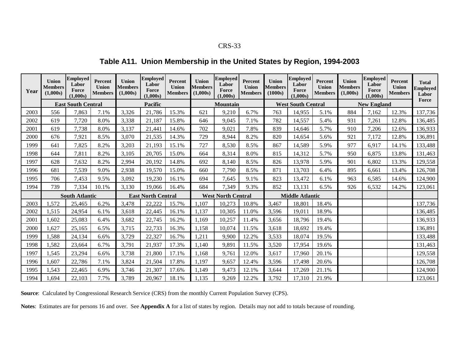## **Table A11. Union Membership in the United States by Region, 1994-2003**

| Year | <b>Union</b><br><b>Members</b><br>(1.000s) | <b>Employed</b><br>Labor<br>Force<br>(1,000s) | Percent<br>Union<br><b>Members</b> | <b>Union</b><br><b>Members</b><br>(1,000s) | <b>Employed</b><br>Labor<br>Force<br>(1,000s) | <b>Percent</b><br><b>Union</b><br><b>Members</b> | <b>Union</b><br><b>Members</b><br>(1,000s) | <b>Employed</b><br>Labor<br>Force<br>(1,000s) | Percent<br><b>Union</b><br><b>Members</b> | <b>Union</b><br><b>Members</b><br>(1000s) | <b>Employed</b><br>Labor<br>Force<br>(1,000s) | Percent<br><b>Union</b><br><b>Members</b> | Union<br><b>Members</b><br>(1,000s) | <b>Employed</b><br>Labor<br>Force<br>(1,000s) | Percent<br>Union<br><b>Members</b> | <b>Total</b><br><b>Employed</b><br>Labor<br>Force |
|------|--------------------------------------------|-----------------------------------------------|------------------------------------|--------------------------------------------|-----------------------------------------------|--------------------------------------------------|--------------------------------------------|-----------------------------------------------|-------------------------------------------|-------------------------------------------|-----------------------------------------------|-------------------------------------------|-------------------------------------|-----------------------------------------------|------------------------------------|---------------------------------------------------|
|      |                                            | <b>East South Central</b>                     |                                    |                                            | Pacific                                       |                                                  |                                            | <b>Mountain</b>                               |                                           |                                           | <b>West South Central</b>                     |                                           |                                     | <b>New England</b>                            |                                    |                                                   |
| 2003 | 556                                        | 7,863                                         | 7.1%                               | 3,326                                      | 21,786                                        | 15.3%                                            | 621                                        | 9,210                                         | 6.7%                                      | 763                                       | 14,955                                        | 5.1%                                      | 884                                 | 7,162                                         | 12.3%                              | 137,736                                           |
| 2002 | 619                                        | 7,720                                         | 8.0%                               | 3,338                                      | 21,187                                        | 15.8%                                            | 646                                        | 9,045                                         | 7.1%                                      | 782                                       | 14,557                                        | 5.4%                                      | 931                                 | 7,261                                         | 12.8%                              | 136,485                                           |
| 2001 | 619                                        | 7,738                                         | 8.0%                               | 3,137                                      | 21,441                                        | 14.6%                                            | 702                                        | 9,021                                         | 7.8%                                      | 839                                       | 14,646                                        | 5.7%                                      | 910                                 | 7,206                                         | 12.6%                              | 136,933                                           |
| 2000 | 676                                        | 7,921                                         | 8.5%                               | 3,070                                      | 21,535                                        | 14.3%                                            | 729                                        | 8,944                                         | 8.2%                                      | 820                                       | 14,654                                        | 5.6%                                      | 921                                 | 7,172                                         | 12.8%                              | 136,891                                           |
| 1999 | 641                                        | 7,825                                         | 8.2%                               | 3,203                                      | 21,193                                        | 15.1%                                            | 727                                        | 8,530                                         | 8.5%                                      | 867                                       | 14,589                                        | 5.9%                                      | 977                                 | 6,917                                         | 14.1%                              | 133,488                                           |
| 1998 | 644                                        | 7,811                                         | 8.2%                               | 3,105                                      | 20,705                                        | 15.0%                                            | 664                                        | 8,314                                         | 8.0%                                      | 815                                       | 14,312                                        | 5.7%                                      | 950                                 | 6,875                                         | 13.8%                              | 131,463                                           |
| 1997 | 628                                        | 7,632                                         | 8.2%                               | 2,994                                      | 20,192                                        | 14.8%                                            | 692                                        | 8,140                                         | 8.5%                                      | 826                                       | 13,978                                        | 5.9%                                      | 901                                 | 6,802                                         | 13.3%                              | 129,558                                           |
| 1996 | 681                                        | 7,539                                         | 9.0%                               | 2,938                                      | 19,570                                        | 15.0%                                            | 660                                        | 7,790                                         | 8.5%                                      | 871                                       | 13,703                                        | 6.4%                                      | 895                                 | 6,661                                         | 13.4%                              | 126,708                                           |
| 1995 | 706                                        | 7,453                                         | 9.5%                               | 3,092                                      | 19,230                                        | 16.1%                                            | 694                                        | 7,645                                         | 9.1%                                      | 823                                       | 13,472                                        | 6.1%                                      | 963                                 | 6,585                                         | 14.6%                              | 124,900                                           |
| 1994 | 739                                        | 7,334                                         | 10.1%                              | 3,130                                      | 19,066                                        | 16.4%                                            | 684                                        | 7,349                                         | 9.3%                                      | 852                                       | 13,131                                        | 6.5%                                      | 926                                 | 6,532                                         | 14.2%                              | 123,061                                           |
|      |                                            | <b>South Atlantic</b>                         |                                    | <b>East North Central</b>                  |                                               | <b>West North Central</b>                        |                                            | <b>Middle Atlantic</b>                        |                                           |                                           |                                               |                                           |                                     |                                               |                                    |                                                   |
| 2003 | 1,572                                      | 25,465                                        | 6.2%                               | 3,478                                      | 22,222                                        | 15.7%                                            | 1,107                                      | 10,273                                        | 10.8%                                     | 3,467                                     | 18,801                                        | 18.4%                                     |                                     |                                               |                                    | 137,736                                           |
| 2002 | 1,515                                      | 24,954                                        | 6.1%                               | 3,618                                      | 22,445                                        | 16.1%                                            | 1,137                                      | 10,305                                        | 11.0%                                     | 3,596                                     | 19,011                                        | 18.9%                                     |                                     |                                               |                                    | 136,485                                           |
| 2001 | 1,602                                      | 25,083                                        | 6.4%                               | 3,682                                      | 22,745                                        | 16.2%                                            | 1,169                                      | 10,257                                        | 11.4%                                     | 3,656                                     | 18,796                                        | 19.4%                                     |                                     |                                               |                                    | 136,933                                           |
| 2000 | 1,627                                      | 25,165                                        | 6.5%                               | 3,715                                      | 22,733                                        | 16.3%                                            | 1,158                                      | 10,074                                        | 11.5%                                     | 3,618                                     | 18,692                                        | 19.4%                                     |                                     |                                               |                                    | 136,891                                           |
| 1999 | 1,588                                      | 24,134                                        | 6.6%                               | 3,729                                      | 22,327                                        | 16.7%                                            | 1,211                                      | 9,900                                         | 12.2%                                     | 3,533                                     | 18,074                                        | 19.5%                                     |                                     |                                               |                                    | 133,488                                           |
| 1998 | 1,582                                      | 23,664                                        | 6.7%                               | 3,791                                      | 21,937                                        | 17.3%                                            | 1,140                                      | 9,891                                         | 11.5%                                     | 3,520                                     | 17,954                                        | 19.6%                                     |                                     |                                               |                                    | 131,463                                           |
| 1997 | 1,545                                      | 23,294                                        | 6.6%                               | 3,738                                      | 21,800                                        | 17.1%                                            | 1,168                                      | 9,761                                         | 12.0%                                     | 3,617                                     | 17,960                                        | 20.1%                                     |                                     |                                               |                                    | 129,558                                           |
| 1996 | 1,607                                      | 22,786                                        | 7.1%                               | 3,824                                      | 21,504                                        | 17.8%                                            | 1,197                                      | 9,657                                         | 12.4%                                     | 3,596                                     | 17,498                                        | 20.6%                                     |                                     |                                               |                                    | 126,708                                           |
| 1995 | 1,543                                      | 22,465                                        | 6.9%                               | 3,746                                      | 21,307                                        | 17.6%                                            | 1,149                                      | 9,473                                         | 12.1%                                     | 3,644                                     | 17,269                                        | 21.1%                                     |                                     |                                               |                                    | 124,900                                           |
| 1994 | .694                                       | 22,103                                        | 7.7%                               | 3,789                                      | 20,967                                        | 18.1%                                            | 1,135                                      | 9,269                                         | 12.2%                                     | 3,792                                     | 17,310                                        | 21.9%                                     |                                     |                                               |                                    | 123,061                                           |

**Source**: Calculated by Congressional Research Service (CRS) from the monthly Current Population Survey (CPS).

**Notes**: Estimates are for persons 16 and over. See **Appendix A** for a list of states by region. Details may not add to totals because of rounding.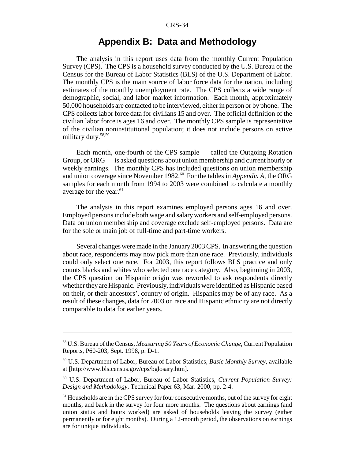## **Appendix B: Data and Methodology**

The analysis in this report uses data from the monthly Current Population Survey (CPS). The CPS is a household survey conducted by the U.S. Bureau of the Census for the Bureau of Labor Statistics (BLS) of the U.S. Department of Labor. The monthly CPS is the main source of labor force data for the nation, including estimates of the monthly unemployment rate. The CPS collects a wide range of demographic, social, and labor market information. Each month, approximately 50,000 households are contacted to be interviewed, either in person or by phone. The CPS collects labor force data for civilians 15 and over. The official definition of the civilian labor force is ages 16 and over. The monthly CPS sample is representative of the civilian noninstitutional population; it does not include persons on active military duty.<sup>58,59</sup>

Each month, one-fourth of the CPS sample — called the Outgoing Rotation Group, or ORG — is asked questions about union membership and current hourly or weekly earnings. The monthly CPS has included questions on union membership and union coverage since November 1982.<sup>60</sup> For the tables in *Appendix A*, the ORG samples for each month from 1994 to 2003 were combined to calculate a monthly average for the year. $61$ 

The analysis in this report examines employed persons ages 16 and over. Employed persons include both wage and salary workers and self-employed persons. Data on union membership and coverage exclude self-employed persons. Data are for the sole or main job of full-time and part-time workers.

Several changes were made in the January 2003 CPS. In answering the question about race, respondents may now pick more than one race. Previously, individuals could only select one race. For 2003, this report follows BLS practice and only counts blacks and whites who selected one race category. Also, beginning in 2003, the CPS question on Hispanic origin was reworded to ask respondents directly whether they are Hispanic. Previously, individuals were identified as Hispanic based on their, or their ancestors', country of origin. Hispanics may be of any race. As a result of these changes, data for 2003 on race and Hispanic ethnicity are not directly comparable to data for earlier years.

<sup>58</sup> U.S. Bureau of the Census, *Measuring 50 Years of Economic Change*, Current Population Reports, P60-203, Sept. 1998, p. D-1.

<sup>59</sup> U.S. Department of Labor, Bureau of Labor Statistics, *Basic Monthly Survey*, available at [http://www.bls.census.gov/cps/bglosary.htm].

<sup>60</sup> U.S. Department of Labor, Bureau of Labor Statistics, *Current Population Survey: Design and Methodology*, Technical Paper 63, Mar. 2000, pp. 2-4.

<sup>&</sup>lt;sup>61</sup> Households are in the CPS survey for four consecutive months, out of the survey for eight months, and back in the survey for four more months. The questions about earnings (and union status and hours worked) are asked of households leaving the survey (either permanently or for eight months). During a 12-month period, the observations on earnings are for unique individuals.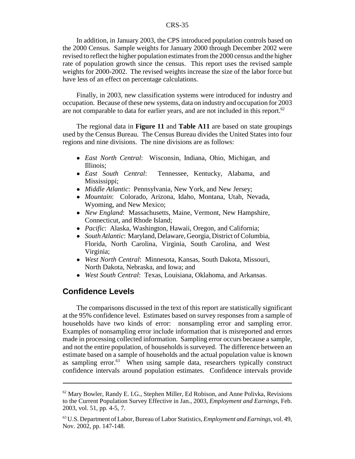In addition, in January 2003, the CPS introduced population controls based on the 2000 Census. Sample weights for January 2000 through December 2002 were revised to reflect the higher population estimates from the 2000 census and the higher rate of population growth since the census. This report uses the revised sample weights for 2000-2002. The revised weights increase the size of the labor force but have less of an effect on percentage calculations.

Finally, in 2003, new classification systems were introduced for industry and occupation. Because of these new systems, data on industry and occupation for 2003 are not comparable to data for earlier years, and are not included in this report.<sup>62</sup>

The regional data in **Figure 11** and **Table A11** are based on state groupings used by the Census Bureau. The Census Bureau divides the United States into four regions and nine divisions. The nine divisions are as follows:

- ! *East North Central*: Wisconsin, Indiana, Ohio, Michigan, and Illinois;
- ! *East South Central*: Tennessee, Kentucky, Alabama, and Mississippi;
- ! *Middle Atlantic*: Pennsylvania, New York, and New Jersey;
- ! *Mountain*: Colorado, Arizona, Idaho, Montana, Utah, Nevada, Wyoming, and New Mexico;
- ! *New England*: Massachusetts, Maine, Vermont, New Hampshire, Connecticut, and Rhode Island;
- ! *Pacific*: Alaska, Washington, Hawaii, Oregon, and California;
- ! *South Atlantic*: Maryland, Delaware, Georgia, District of Columbia, Florida, North Carolina, Virginia, South Carolina, and West Virginia;
- ! *West North Central*: Minnesota, Kansas, South Dakota, Missouri, North Dakota, Nebraska, and Iowa; and
- ! *West South Central*: Texas, Louisiana, Oklahoma, and Arkansas.

## **Confidence Levels**

The comparisons discussed in the text of this report are statistically significant at the 95% confidence level. Estimates based on survey responses from a sample of households have two kinds of error: nonsampling error and sampling error. Examples of nonsampling error include information that is misreported and errors made in processing collected information. Sampling error occurs because a sample, and not the entire population, of households is surveyed. The difference between an estimate based on a sample of households and the actual population value is known as sampling error. $63$  When using sample data, researchers typically construct confidence intervals around population estimates. Confidence intervals provide

 $62$  Mary Bowler, Randy E. I.G., Stephen Miller, Ed Robison, and Anne Polivka, Revisions to the Current Population Survey Effective in Jan., 2003, *Employment and Earnings*, Feb. 2003, vol. 51, pp. 4-5, 7.

<sup>63</sup> U.S. Department of Labor, Bureau of Labor Statistics, *Employment and Earnings,* vol. 49, Nov. 2002, pp. 147-148.